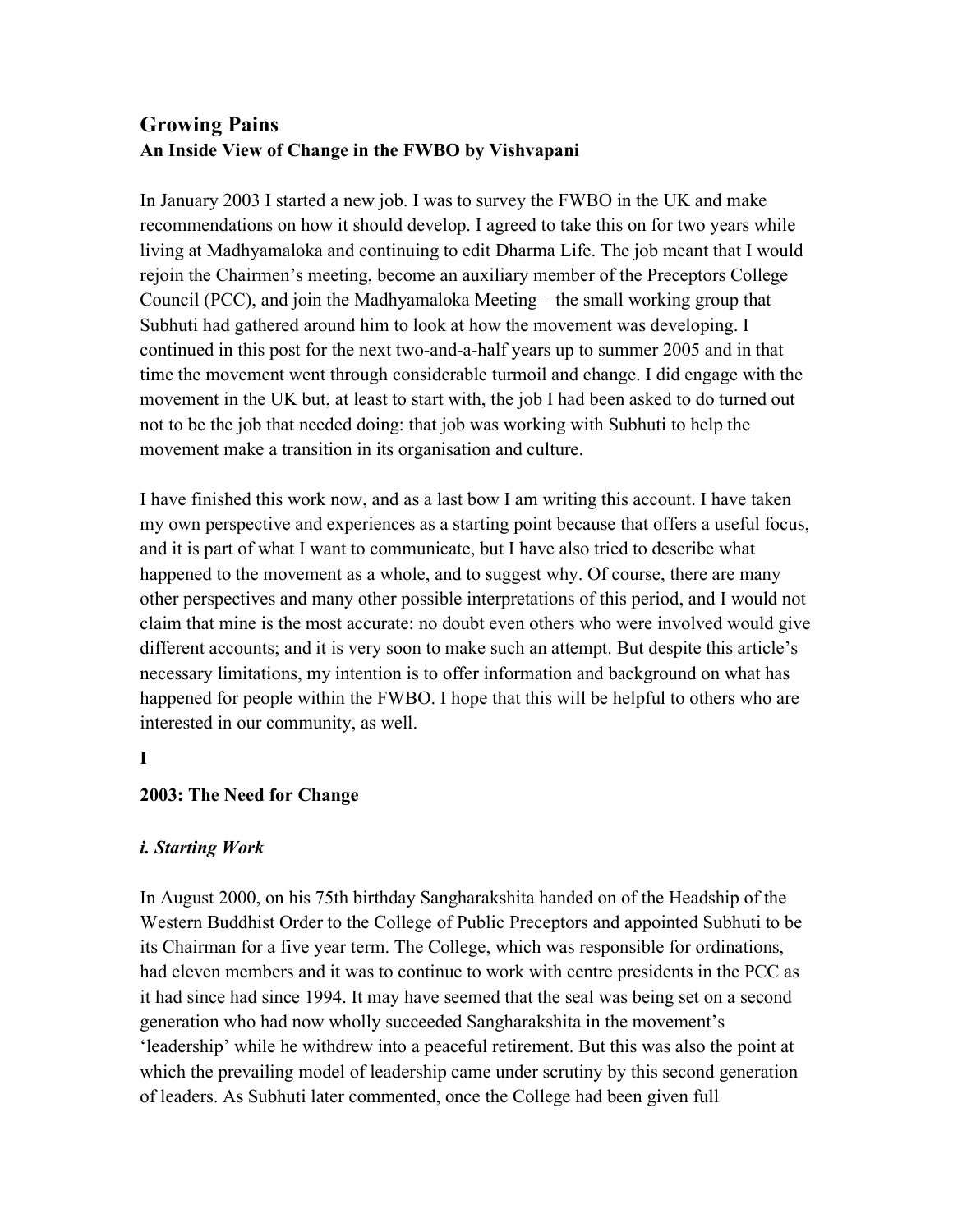# **Growing Pains An Inside View of Change in the FWBO by Vishvapani**

In January 2003 I started a new job. I was to survey the FWBO in the UK and make recommendations on how it should develop. I agreed to take this on for two years while living at Madhyamaloka and continuing to edit Dharma Life. The job meant that I would rejoin the Chairmen's meeting, become an auxiliary member of the Preceptors College Council (PCC), and join the Madhyamaloka Meeting – the small working group that Subhuti had gathered around him to look at how the movement was developing. I continued in this post for the next two-and-a-half years up to summer 2005 and in that time the movement went through considerable turmoil and change. I did engage with the movement in the UK but, at least to start with, the job I had been asked to do turned out not to be the job that needed doing: that job was working with Subhuti to help the movement make a transition in its organisation and culture.

I have finished this work now, and as a last bow I am writing this account. I have taken my own perspective and experiences as a starting point because that offers a useful focus, and it is part of what I want to communicate, but I have also tried to describe what happened to the movement as a whole, and to suggest why. Of course, there are many other perspectives and many other possible interpretations of this period, and I would not claim that mine is the most accurate: no doubt even others who were involved would give different accounts; and it is very soon to make such an attempt. But despite this article's necessary limitations, my intention is to offer information and background on what has happened for people within the FWBO. I hope that this will be helpful to others who are interested in our community, as well.

# **I**

## **2003: The Need for Change**

## *i. Starting Work*

In August 2000, on his 75th birthday Sangharakshita handed on of the Headship of the Western Buddhist Order to the College of Public Preceptors and appointed Subhuti to be its Chairman for a five year term. The College, which was responsible for ordinations, had eleven members and it was to continue to work with centre presidents in the PCC as it had since had since 1994. It may have seemed that the seal was being set on a second generation who had now wholly succeeded Sangharakshita in the movement's 'leadership' while he withdrew into a peaceful retirement. But this was also the point at which the prevailing model of leadership came under scrutiny by this second generation of leaders. As Subhuti later commented, once the College had been given full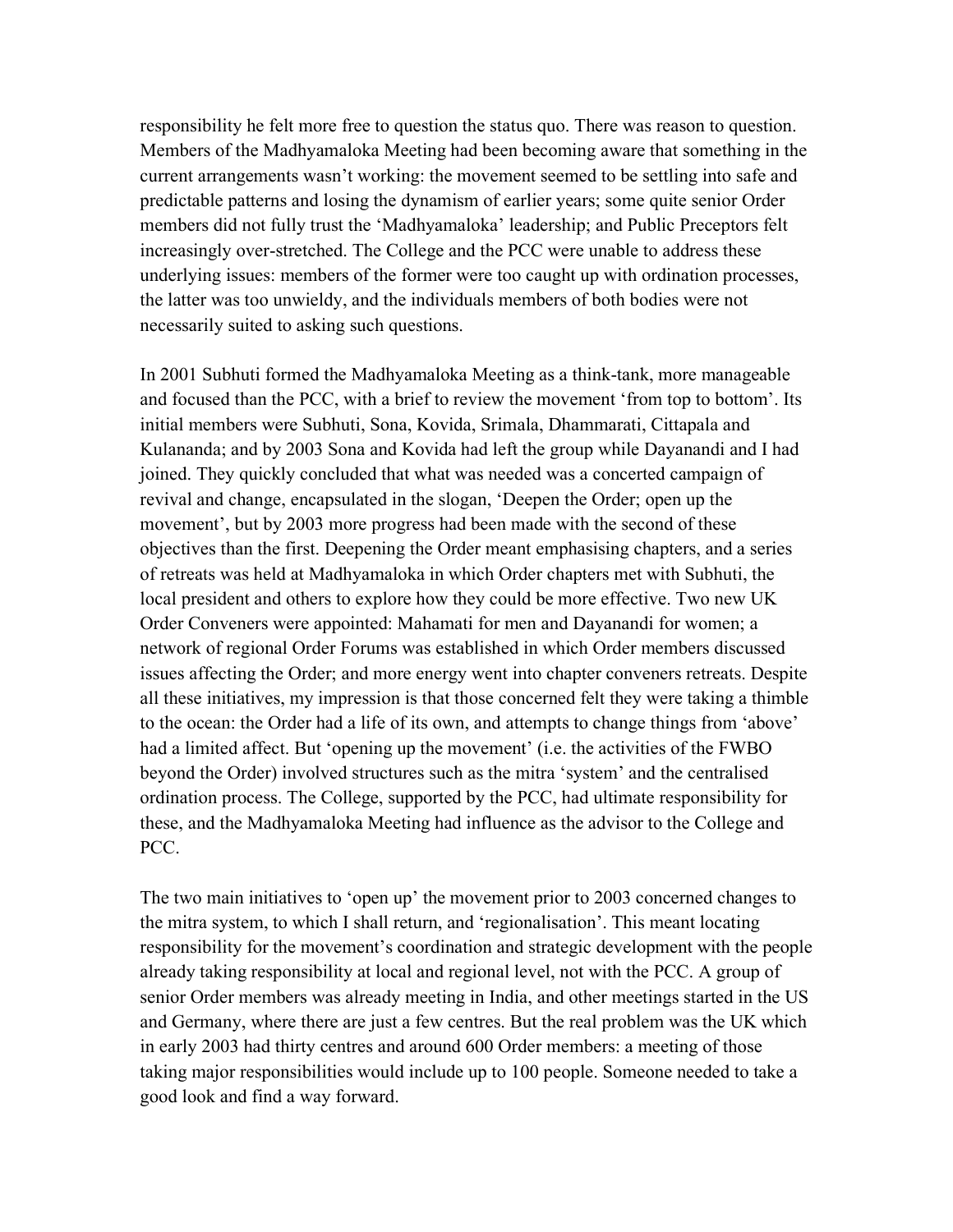responsibility he felt more free to question the status quo. There was reason to question. Members of the Madhyamaloka Meeting had been becoming aware that something in the current arrangements wasn't working: the movement seemed to be settling into safe and predictable patterns and losing the dynamism of earlier years; some quite senior Order members did not fully trust the 'Madhyamaloka' leadership; and Public Preceptors felt increasingly over-stretched. The College and the PCC were unable to address these underlying issues: members of the former were too caught up with ordination processes, the latter was too unwieldy, and the individuals members of both bodies were not necessarily suited to asking such questions.

In 2001 Subhuti formed the Madhyamaloka Meeting as a think-tank, more manageable and focused than the PCC, with a brief to review the movement 'from top to bottom'. Its initial members were Subhuti, Sona, Kovida, Srimala, Dhammarati, Cittapala and Kulananda; and by 2003 Sona and Kovida had left the group while Dayanandi and I had joined. They quickly concluded that what was needed was a concerted campaign of revival and change, encapsulated in the slogan, 'Deepen the Order; open up the movement', but by 2003 more progress had been made with the second of these objectives than the first. Deepening the Order meant emphasising chapters, and a series of retreats was held at Madhyamaloka in which Order chapters met with Subhuti, the local president and others to explore how they could be more effective. Two new UK Order Conveners were appointed: Mahamati for men and Dayanandi for women; a network of regional Order Forums was established in which Order members discussed issues affecting the Order; and more energy went into chapter conveners retreats. Despite all these initiatives, my impression is that those concerned felt they were taking a thimble to the ocean: the Order had a life of its own, and attempts to change things from 'above' had a limited affect. But 'opening up the movement' (i.e. the activities of the FWBO beyond the Order) involved structures such as the mitra 'system' and the centralised ordination process. The College, supported by the PCC, had ultimate responsibility for these, and the Madhyamaloka Meeting had influence as the advisor to the College and PCC.

The two main initiatives to 'open up' the movement prior to 2003 concerned changes to the mitra system, to which I shall return, and 'regionalisation'. This meant locating responsibility for the movement's coordination and strategic development with the people already taking responsibility at local and regional level, not with the PCC. A group of senior Order members was already meeting in India, and other meetings started in the US and Germany, where there are just a few centres. But the real problem was the UK which in early 2003 had thirty centres and around 600 Order members: a meeting of those taking major responsibilities would include up to 100 people. Someone needed to take a good look and find a way forward.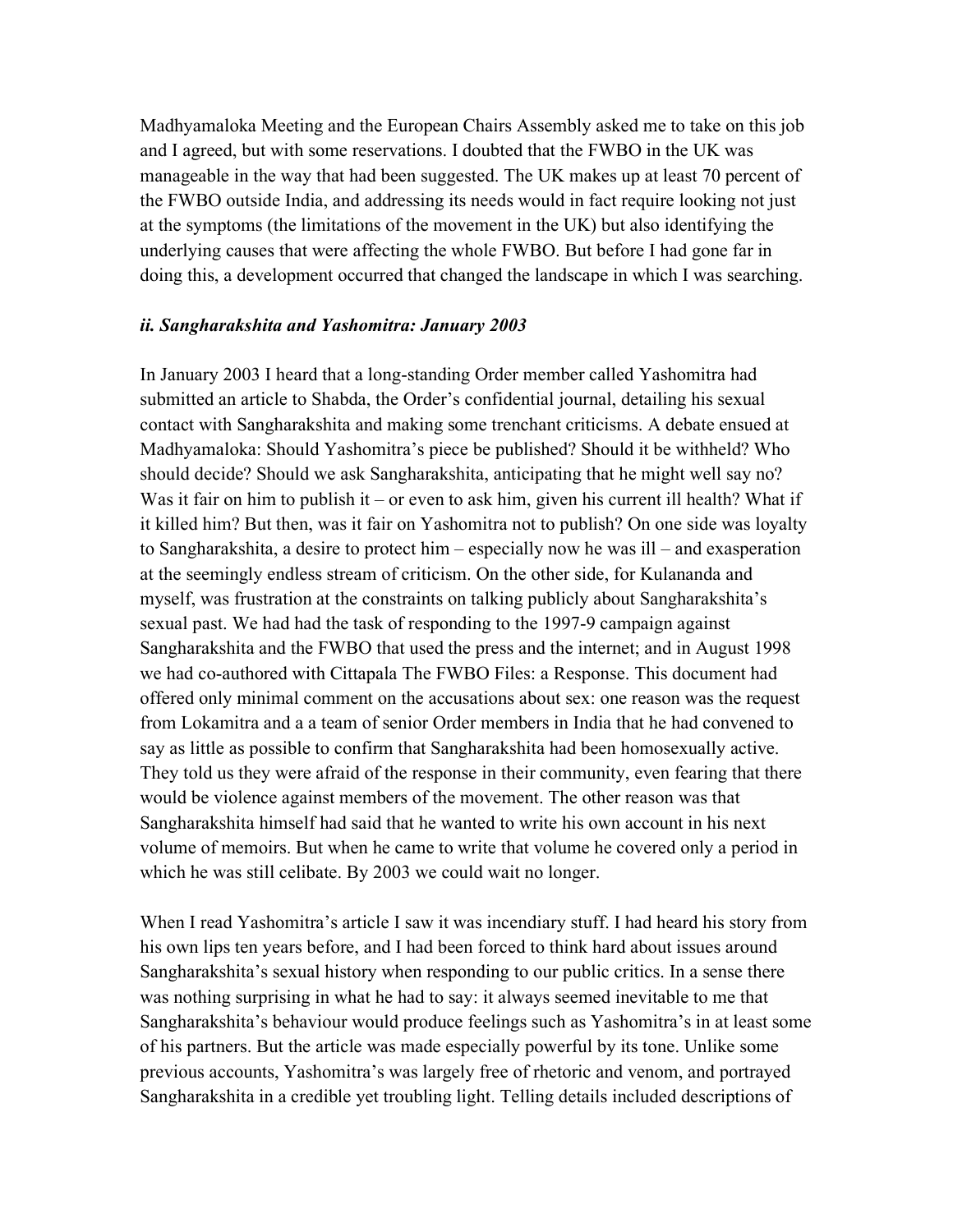Madhyamaloka Meeting and the European Chairs Assembly asked me to take on this job and I agreed, but with some reservations. I doubted that the FWBO in the UK was manageable in the way that had been suggested. The UK makes up at least 70 percent of the FWBO outside India, and addressing its needs would in fact require looking not just at the symptoms (the limitations of the movement in the UK) but also identifying the underlying causes that were affecting the whole FWBO. But before I had gone far in doing this, a development occurred that changed the landscape in which I was searching.

#### *ii. Sangharakshita and Yashomitra: January 2003*

In January 2003 I heard that a long-standing Order member called Yashomitra had submitted an article to Shabda, the Order's confidential journal, detailing his sexual contact with Sangharakshita and making some trenchant criticisms. A debate ensued at Madhyamaloka: Should Yashomitra's piece be published? Should it be withheld? Who should decide? Should we ask Sangharakshita, anticipating that he might well say no? Was it fair on him to publish it – or even to ask him, given his current ill health? What if it killed him? But then, was it fair on Yashomitra not to publish? On one side was loyalty to Sangharakshita, a desire to protect him – especially now he was ill – and exasperation at the seemingly endless stream of criticism. On the other side, for Kulananda and myself, was frustration at the constraints on talking publicly about Sangharakshita's sexual past. We had had the task of responding to the 1997-9 campaign against Sangharakshita and the FWBO that used the press and the internet; and in August 1998 we had co-authored with Cittapala The FWBO Files: a Response. This document had offered only minimal comment on the accusations about sex: one reason was the request from Lokamitra and a a team of senior Order members in India that he had convened to say as little as possible to confirm that Sangharakshita had been homosexually active. They told us they were afraid of the response in their community, even fearing that there would be violence against members of the movement. The other reason was that Sangharakshita himself had said that he wanted to write his own account in his next volume of memoirs. But when he came to write that volume he covered only a period in which he was still celibate. By 2003 we could wait no longer.

When I read Yashomitra's article I saw it was incendiary stuff. I had heard his story from his own lips ten years before, and I had been forced to think hard about issues around Sangharakshita's sexual history when responding to our public critics. In a sense there was nothing surprising in what he had to say: it always seemed inevitable to me that Sangharakshita's behaviour would produce feelings such as Yashomitra's in at least some of his partners. But the article was made especially powerful by its tone. Unlike some previous accounts, Yashomitra's was largely free of rhetoric and venom, and portrayed Sangharakshita in a credible yet troubling light. Telling details included descriptions of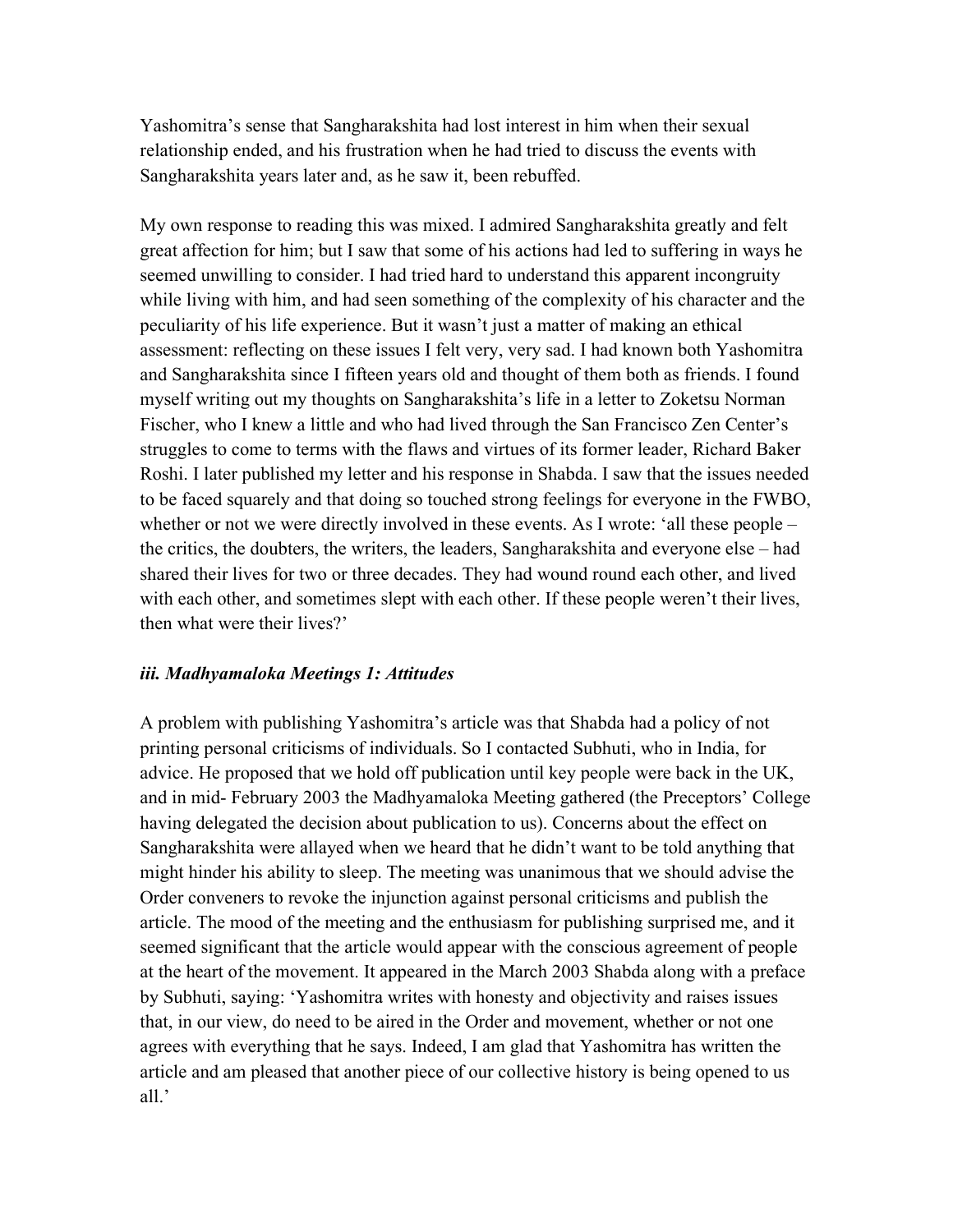Yashomitra's sense that Sangharakshita had lost interest in him when their sexual relationship ended, and his frustration when he had tried to discuss the events with Sangharakshita years later and, as he saw it, been rebuffed.

My own response to reading this was mixed. I admired Sangharakshita greatly and felt great affection for him; but I saw that some of his actions had led to suffering in ways he seemed unwilling to consider. I had tried hard to understand this apparent incongruity while living with him, and had seen something of the complexity of his character and the peculiarity of his life experience. But it wasn't just a matter of making an ethical assessment: reflecting on these issues I felt very, very sad. I had known both Yashomitra and Sangharakshita since I fifteen years old and thought of them both as friends. I found myself writing out my thoughts on Sangharakshita's life in a letter to Zoketsu Norman Fischer, who I knew a little and who had lived through the San Francisco Zen Center's struggles to come to terms with the flaws and virtues of its former leader, Richard Baker Roshi. I later published my letter and his response in Shabda. I saw that the issues needed to be faced squarely and that doing so touched strong feelings for everyone in the FWBO, whether or not we were directly involved in these events. As I wrote: 'all these people – the critics, the doubters, the writers, the leaders, Sangharakshita and everyone else – had shared their lives for two or three decades. They had wound round each other, and lived with each other, and sometimes slept with each other. If these people weren't their lives, then what were their lives?'

#### *iii. Madhyamaloka Meetings 1: Attitudes*

A problem with publishing Yashomitra's article was that Shabda had a policy of not printing personal criticisms of individuals. So I contacted Subhuti, who in India, for advice. He proposed that we hold off publication until key people were back in the UK, and in mid- February 2003 the Madhyamaloka Meeting gathered (the Preceptors' College having delegated the decision about publication to us). Concerns about the effect on Sangharakshita were allayed when we heard that he didn't want to be told anything that might hinder his ability to sleep. The meeting was unanimous that we should advise the Order conveners to revoke the injunction against personal criticisms and publish the article. The mood of the meeting and the enthusiasm for publishing surprised me, and it seemed significant that the article would appear with the conscious agreement of people at the heart of the movement. It appeared in the March 2003 Shabda along with a preface by Subhuti, saying: 'Yashomitra writes with honesty and objectivity and raises issues that, in our view, do need to be aired in the Order and movement, whether or not one agrees with everything that he says. Indeed, I am glad that Yashomitra has written the article and am pleased that another piece of our collective history is being opened to us all.'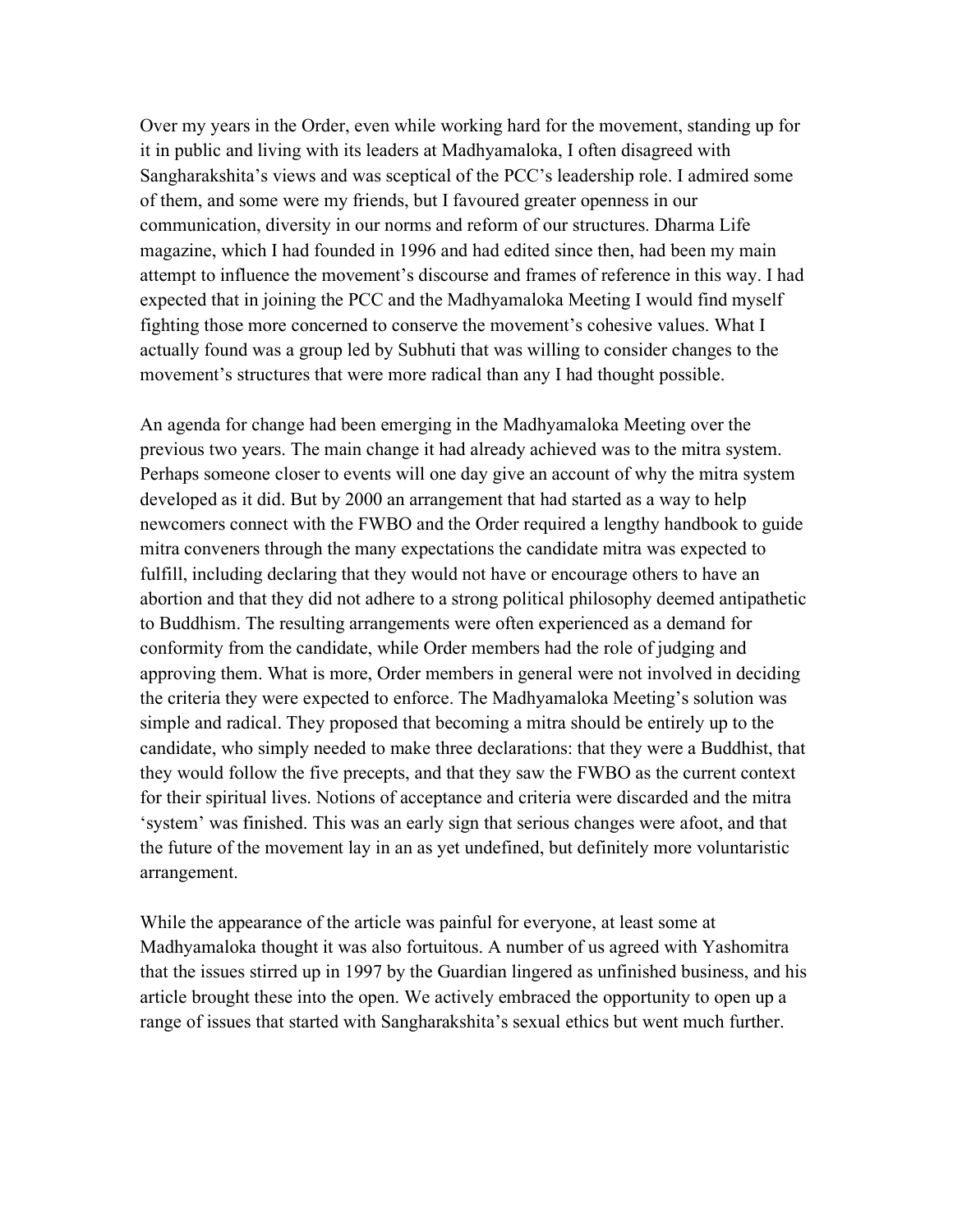Over my years in the Order, even while working hard for the movement, standing up for it in public and living with its leaders at Madhyamaloka, I often disagreed with Sangharakshita's views and was sceptical of the PCC's leadership role. I admired some of them, and some were my friends, but I favoured greater openness in our communication, diversity in our norms and reform of our structures. Dharma Life magazine, which I had founded in 1996 and had edited since then, had been my main attempt to influence the movement's discourse and frames of reference in this way. I had expected that in joining the PCC and the Madhyamaloka Meeting I would find myself fighting those more concerned to conserve the movement's cohesive values. What I actually found was a group led by Subhuti that was willing to consider changes to the movement's structures that were more radical than any I had thought possible.

An agenda for change had been emerging in the Madhyamaloka Meeting over the previous two years. The main change it had already achieved was to the mitra system. Perhaps someone closer to events will one day give an account of why the mitra system developed as it did. But by 2000 an arrangement that had started as a way to help newcomers connect with the FWBO and the Order required a lengthy handbook to guide mitra conveners through the many expectations the candidate mitra was expected to fulfill, including declaring that they would not have or encourage others to have an abortion and that they did not adhere to a strong political philosophy deemed antipathetic to Buddhism. The resulting arrangements were often experienced as a demand for conformity from the candidate, while Order members had the role of judging and approving them. What is more, Order members in general were not involved in deciding the criteria they were expected to enforce. The Madhyamaloka Meeting's solution was simple and radical. They proposed that becoming a mitra should be entirely up to the candidate, who simply needed to make three declarations: that they were a Buddhist, that they would follow the five precepts, and that they saw the FWBO as the current context for their spiritual lives. Notions of acceptance and criteria were discarded and the mitra 'system' was finished. This was an early sign that serious changes were afoot, and that the future of the movement lay in an as yet undefined, but definitely more voluntaristic arrangement.

While the appearance of the article was painful for everyone, at least some at Madhyamaloka thought it was also fortuitous. A number of us agreed with Yashomitra that the issues stirred up in 1997 by the Guardian lingered as unfinished business, and his article brought these into the open. We actively embraced the opportunity to open up a range of issues that started with Sangharakshita's sexual ethics but went much further.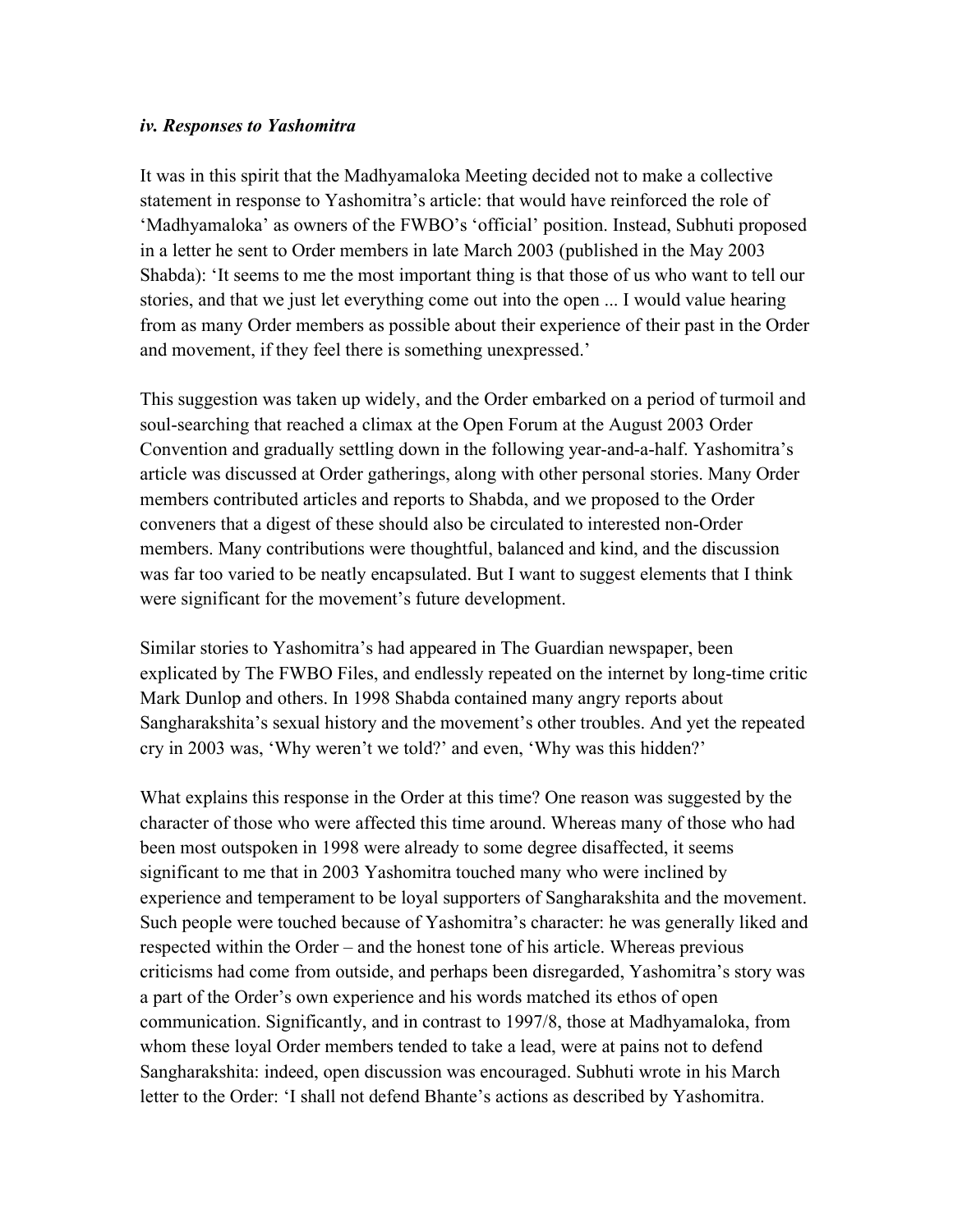#### *iv. Responses to Yashomitra*

It was in this spirit that the Madhyamaloka Meeting decided not to make a collective statement in response to Yashomitra's article: that would have reinforced the role of 'Madhyamaloka' as owners of the FWBO's 'official' position. Instead, Subhuti proposed in a letter he sent to Order members in late March 2003 (published in the May 2003 Shabda): 'It seems to me the most important thing is that those of us who want to tell our stories, and that we just let everything come out into the open ... I would value hearing from as many Order members as possible about their experience of their past in the Order and movement, if they feel there is something unexpressed.'

This suggestion was taken up widely, and the Order embarked on a period of turmoil and soul-searching that reached a climax at the Open Forum at the August 2003 Order Convention and gradually settling down in the following year-and-a-half. Yashomitra's article was discussed at Order gatherings, along with other personal stories. Many Order members contributed articles and reports to Shabda, and we proposed to the Order conveners that a digest of these should also be circulated to interested non-Order members. Many contributions were thoughtful, balanced and kind, and the discussion was far too varied to be neatly encapsulated. But I want to suggest elements that I think were significant for the movement's future development.

Similar stories to Yashomitra's had appeared in The Guardian newspaper, been explicated by The FWBO Files, and endlessly repeated on the internet by long-time critic Mark Dunlop and others. In 1998 Shabda contained many angry reports about Sangharakshita's sexual history and the movement's other troubles. And yet the repeated cry in 2003 was, 'Why weren't we told?' and even, 'Why was this hidden?'

What explains this response in the Order at this time? One reason was suggested by the character of those who were affected this time around. Whereas many of those who had been most outspoken in 1998 were already to some degree disaffected, it seems significant to me that in 2003 Yashomitra touched many who were inclined by experience and temperament to be loyal supporters of Sangharakshita and the movement. Such people were touched because of Yashomitra's character: he was generally liked and respected within the Order – and the honest tone of his article. Whereas previous criticisms had come from outside, and perhaps been disregarded, Yashomitra's story was a part of the Order's own experience and his words matched its ethos of open communication. Significantly, and in contrast to 1997/8, those at Madhyamaloka, from whom these loyal Order members tended to take a lead, were at pains not to defend Sangharakshita: indeed, open discussion was encouraged. Subhuti wrote in his March letter to the Order: 'I shall not defend Bhante's actions as described by Yashomitra.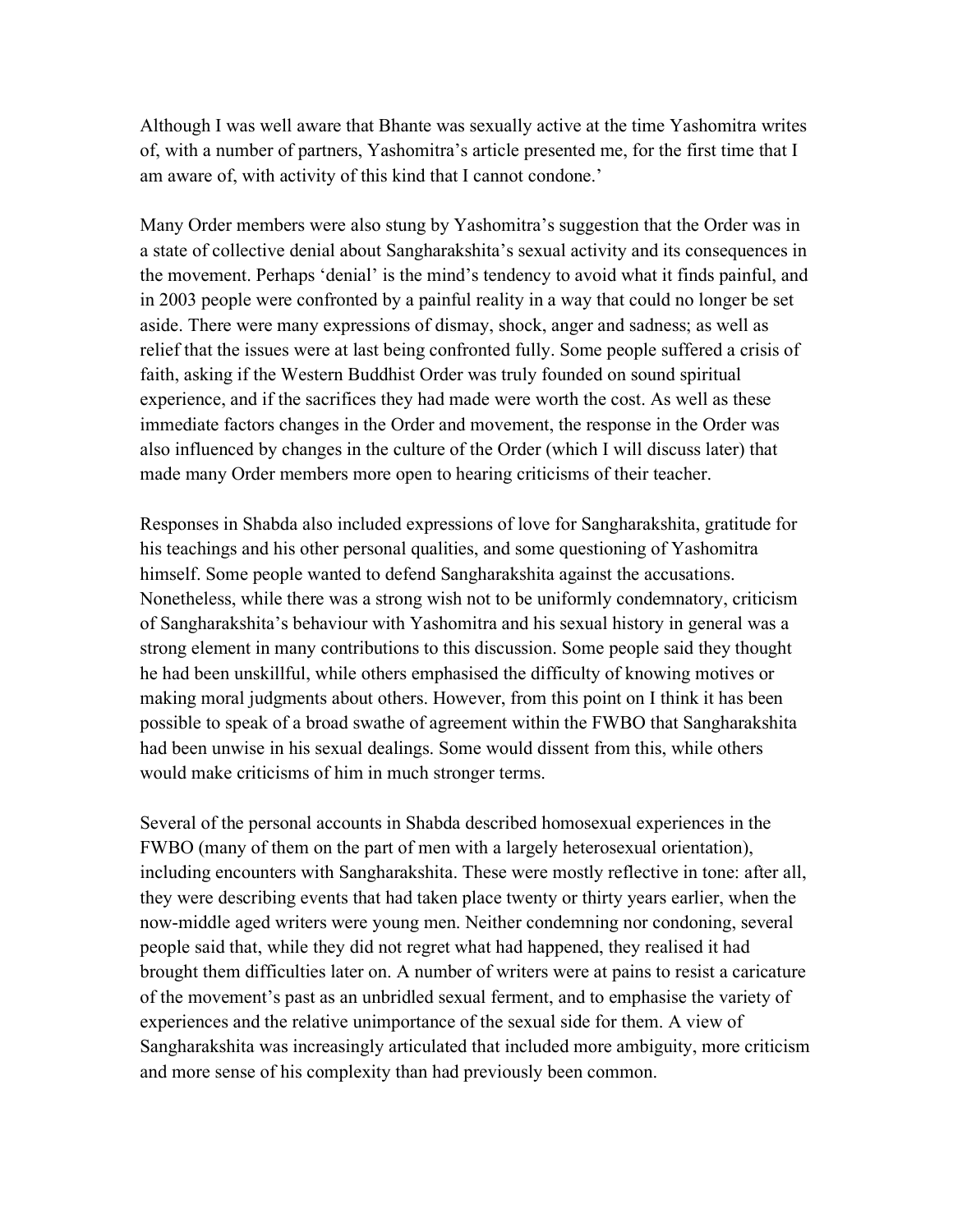Although I was well aware that Bhante was sexually active at the time Yashomitra writes of, with a number of partners, Yashomitra's article presented me, for the first time that I am aware of, with activity of this kind that I cannot condone.'

Many Order members were also stung by Yashomitra's suggestion that the Order was in a state of collective denial about Sangharakshita's sexual activity and its consequences in the movement. Perhaps 'denial' is the mind's tendency to avoid what it finds painful, and in 2003 people were confronted by a painful reality in a way that could no longer be set aside. There were many expressions of dismay, shock, anger and sadness; as well as relief that the issues were at last being confronted fully. Some people suffered a crisis of faith, asking if the Western Buddhist Order was truly founded on sound spiritual experience, and if the sacrifices they had made were worth the cost. As well as these immediate factors changes in the Order and movement, the response in the Order was also influenced by changes in the culture of the Order (which I will discuss later) that made many Order members more open to hearing criticisms of their teacher.

Responses in Shabda also included expressions of love for Sangharakshita, gratitude for his teachings and his other personal qualities, and some questioning of Yashomitra himself. Some people wanted to defend Sangharakshita against the accusations. Nonetheless, while there was a strong wish not to be uniformly condemnatory, criticism of Sangharakshita's behaviour with Yashomitra and his sexual history in general was a strong element in many contributions to this discussion. Some people said they thought he had been unskillful, while others emphasised the difficulty of knowing motives or making moral judgments about others. However, from this point on I think it has been possible to speak of a broad swathe of agreement within the FWBO that Sangharakshita had been unwise in his sexual dealings. Some would dissent from this, while others would make criticisms of him in much stronger terms.

Several of the personal accounts in Shabda described homosexual experiences in the FWBO (many of them on the part of men with a largely heterosexual orientation), including encounters with Sangharakshita. These were mostly reflective in tone: after all, they were describing events that had taken place twenty or thirty years earlier, when the now-middle aged writers were young men. Neither condemning nor condoning, several people said that, while they did not regret what had happened, they realised it had brought them difficulties later on. A number of writers were at pains to resist a caricature of the movement's past as an unbridled sexual ferment, and to emphasise the variety of experiences and the relative unimportance of the sexual side for them. A view of Sangharakshita was increasingly articulated that included more ambiguity, more criticism and more sense of his complexity than had previously been common.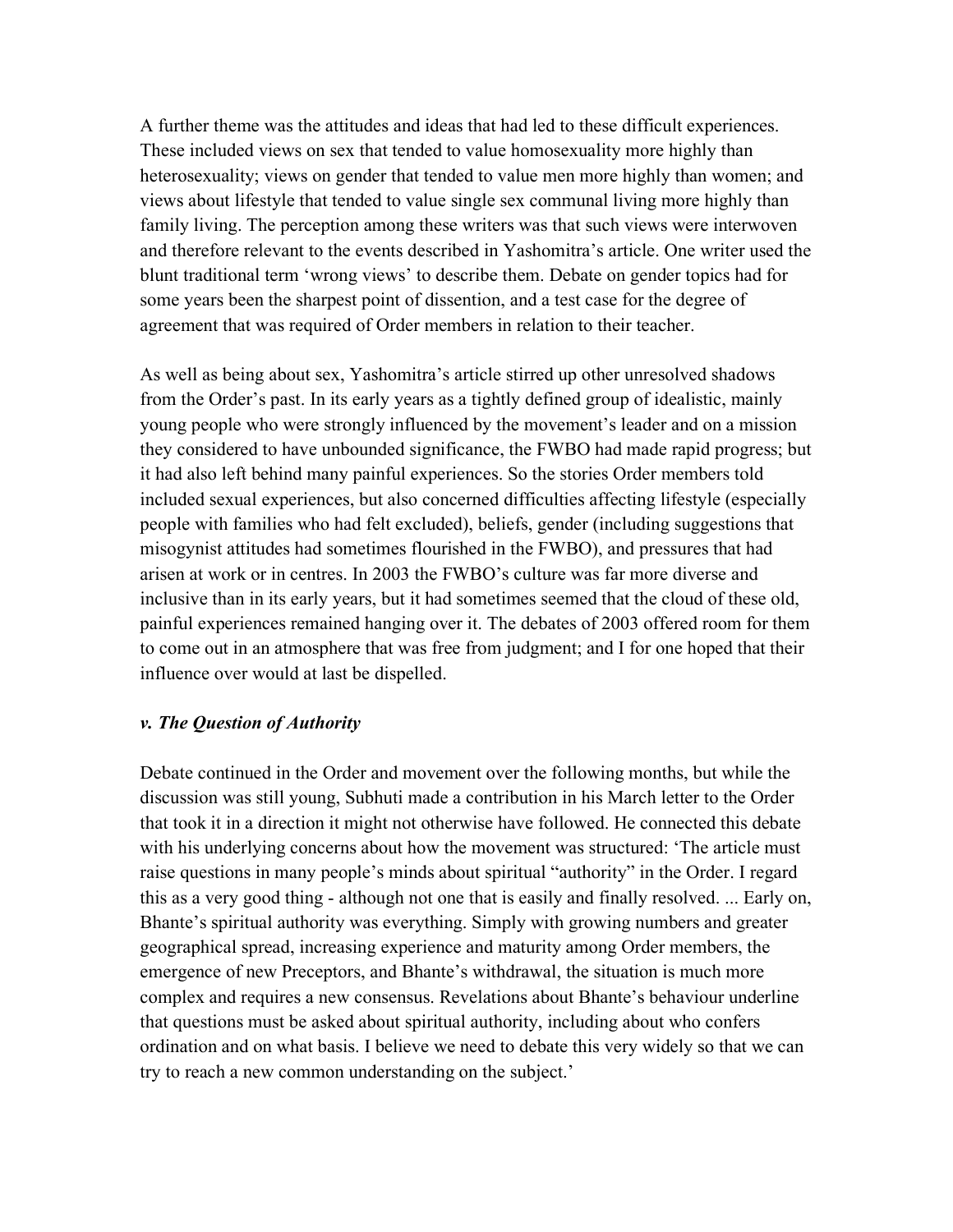A further theme was the attitudes and ideas that had led to these difficult experiences. These included views on sex that tended to value homosexuality more highly than heterosexuality; views on gender that tended to value men more highly than women; and views about lifestyle that tended to value single sex communal living more highly than family living. The perception among these writers was that such views were interwoven and therefore relevant to the events described in Yashomitra's article. One writer used the blunt traditional term 'wrong views' to describe them. Debate on gender topics had for some years been the sharpest point of dissention, and a test case for the degree of agreement that was required of Order members in relation to their teacher.

As well as being about sex, Yashomitra's article stirred up other unresolved shadows from the Order's past. In its early years as a tightly defined group of idealistic, mainly young people who were strongly influenced by the movement's leader and on a mission they considered to have unbounded significance, the FWBO had made rapid progress; but it had also left behind many painful experiences. So the stories Order members told included sexual experiences, but also concerned difficulties affecting lifestyle (especially people with families who had felt excluded), beliefs, gender (including suggestions that misogynist attitudes had sometimes flourished in the FWBO), and pressures that had arisen at work or in centres. In 2003 the FWBO's culture was far more diverse and inclusive than in its early years, but it had sometimes seemed that the cloud of these old, painful experiences remained hanging over it. The debates of 2003 offered room for them to come out in an atmosphere that was free from judgment; and I for one hoped that their influence over would at last be dispelled.

#### *v. The Question of Authority*

Debate continued in the Order and movement over the following months, but while the discussion was still young, Subhuti made a contribution in his March letter to the Order that took it in a direction it might not otherwise have followed. He connected this debate with his underlying concerns about how the movement was structured: 'The article must raise questions in many people's minds about spiritual "authority" in the Order. I regard this as a very good thing - although not one that is easily and finally resolved. ... Early on, Bhante's spiritual authority was everything. Simply with growing numbers and greater geographical spread, increasing experience and maturity among Order members, the emergence of new Preceptors, and Bhante's withdrawal, the situation is much more complex and requires a new consensus. Revelations about Bhante's behaviour underline that questions must be asked about spiritual authority, including about who confers ordination and on what basis. I believe we need to debate this very widely so that we can try to reach a new common understanding on the subject.'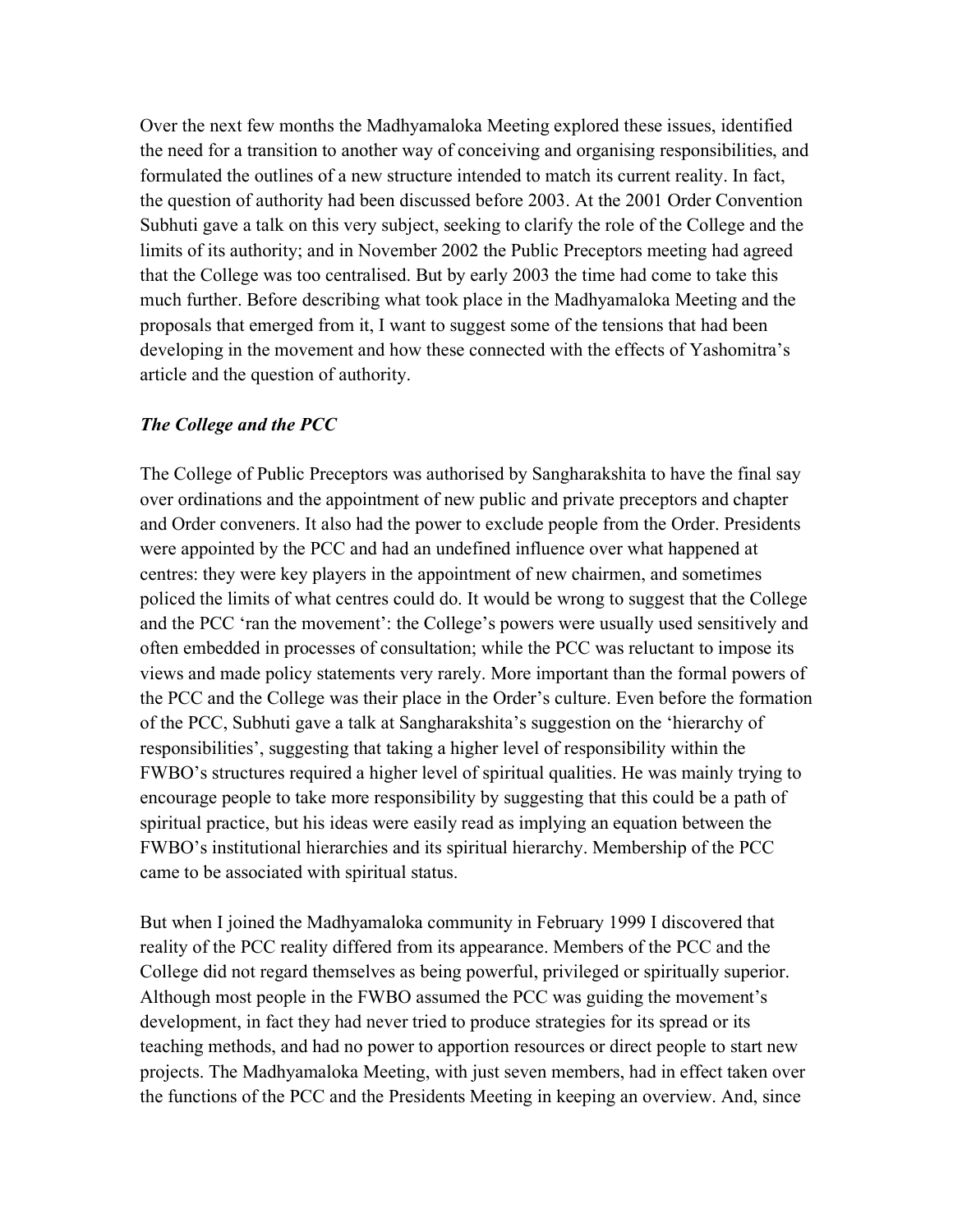Over the next few months the Madhyamaloka Meeting explored these issues, identified the need for a transition to another way of conceiving and organising responsibilities, and formulated the outlines of a new structure intended to match its current reality. In fact, the question of authority had been discussed before 2003. At the 2001 Order Convention Subhuti gave a talk on this very subject, seeking to clarify the role of the College and the limits of its authority; and in November 2002 the Public Preceptors meeting had agreed that the College was too centralised. But by early 2003 the time had come to take this much further. Before describing what took place in the Madhyamaloka Meeting and the proposals that emerged from it, I want to suggest some of the tensions that had been developing in the movement and how these connected with the effects of Yashomitra's article and the question of authority.

#### *The College and the PCC*

The College of Public Preceptors was authorised by Sangharakshita to have the final say over ordinations and the appointment of new public and private preceptors and chapter and Order conveners. It also had the power to exclude people from the Order. Presidents were appointed by the PCC and had an undefined influence over what happened at centres: they were key players in the appointment of new chairmen, and sometimes policed the limits of what centres could do. It would be wrong to suggest that the College and the PCC 'ran the movement': the College's powers were usually used sensitively and often embedded in processes of consultation; while the PCC was reluctant to impose its views and made policy statements very rarely. More important than the formal powers of the PCC and the College was their place in the Order's culture. Even before the formation of the PCC, Subhuti gave a talk at Sangharakshita's suggestion on the 'hierarchy of responsibilities', suggesting that taking a higher level of responsibility within the FWBO's structures required a higher level of spiritual qualities. He was mainly trying to encourage people to take more responsibility by suggesting that this could be a path of spiritual practice, but his ideas were easily read as implying an equation between the FWBO's institutional hierarchies and its spiritual hierarchy. Membership of the PCC came to be associated with spiritual status.

But when I joined the Madhyamaloka community in February 1999 I discovered that reality of the PCC reality differed from its appearance. Members of the PCC and the College did not regard themselves as being powerful, privileged or spiritually superior. Although most people in the FWBO assumed the PCC was guiding the movement's development, in fact they had never tried to produce strategies for its spread or its teaching methods, and had no power to apportion resources or direct people to start new projects. The Madhyamaloka Meeting, with just seven members, had in effect taken over the functions of the PCC and the Presidents Meeting in keeping an overview. And, since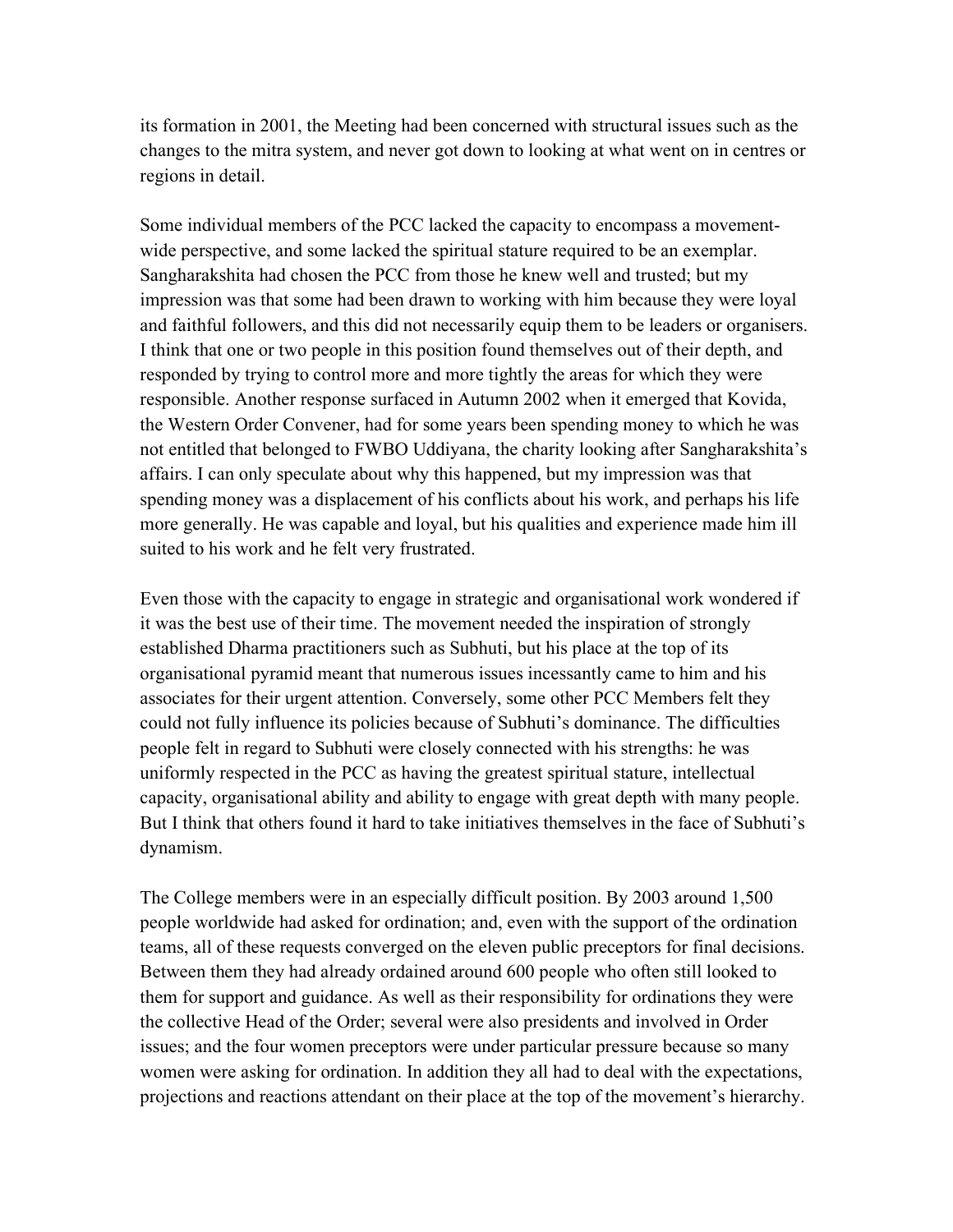its formation in 2001, the Meeting had been concerned with structural issues such as the changes to the mitra system, and never got down to looking at what went on in centres or regions in detail.

Some individual members of the PCC lacked the capacity to encompass a movementwide perspective, and some lacked the spiritual stature required to be an exemplar. Sangharakshita had chosen the PCC from those he knew well and trusted; but my impression was that some had been drawn to working with him because they were loyal and faithful followers, and this did not necessarily equip them to be leaders or organisers. I think that one or two people in this position found themselves out of their depth, and responded by trying to control more and more tightly the areas for which they were responsible. Another response surfaced in Autumn 2002 when it emerged that Kovida, the Western Order Convener, had for some years been spending money to which he was not entitled that belonged to FWBO Uddiyana, the charity looking after Sangharakshita's affairs. I can only speculate about why this happened, but my impression was that spending money was a displacement of his conflicts about his work, and perhaps his life more generally. He was capable and loyal, but his qualities and experience made him ill suited to his work and he felt very frustrated.

Even those with the capacity to engage in strategic and organisational work wondered if it was the best use of their time. The movement needed the inspiration of strongly established Dharma practitioners such as Subhuti, but his place at the top of its organisational pyramid meant that numerous issues incessantly came to him and his associates for their urgent attention. Conversely, some other PCC Members felt they could not fully influence its policies because of Subhuti's dominance. The difficulties people felt in regard to Subhuti were closely connected with his strengths: he was uniformly respected in the PCC as having the greatest spiritual stature, intellectual capacity, organisational ability and ability to engage with great depth with many people. But I think that others found it hard to take initiatives themselves in the face of Subhuti's dynamism.

The College members were in an especially difficult position. By 2003 around 1,500 people worldwide had asked for ordination; and, even with the support of the ordination teams, all of these requests converged on the eleven public preceptors for final decisions. Between them they had already ordained around 600 people who often still looked to them for support and guidance. As well as their responsibility for ordinations they were the collective Head of the Order; several were also presidents and involved in Order issues; and the four women preceptors were under particular pressure because so many women were asking for ordination. In addition they all had to deal with the expectations, projections and reactions attendant on their place at the top of the movement's hierarchy.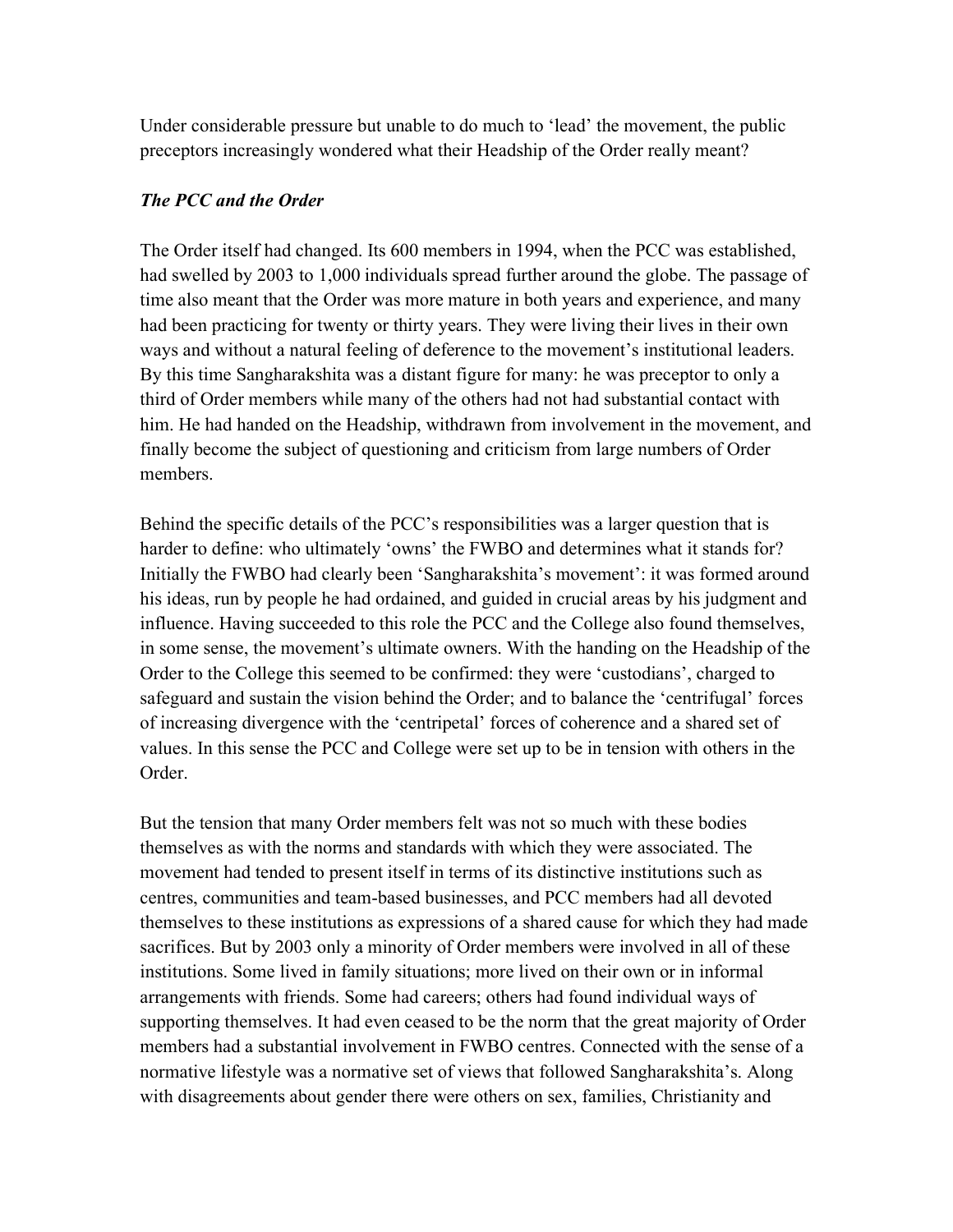Under considerable pressure but unable to do much to 'lead' the movement, the public preceptors increasingly wondered what their Headship of the Order really meant?

## *The PCC and the Order*

The Order itself had changed. Its 600 members in 1994, when the PCC was established, had swelled by 2003 to 1,000 individuals spread further around the globe. The passage of time also meant that the Order was more mature in both years and experience, and many had been practicing for twenty or thirty years. They were living their lives in their own ways and without a natural feeling of deference to the movement's institutional leaders. By this time Sangharakshita was a distant figure for many: he was preceptor to only a third of Order members while many of the others had not had substantial contact with him. He had handed on the Headship, withdrawn from involvement in the movement, and finally become the subject of questioning and criticism from large numbers of Order members.

Behind the specific details of the PCC's responsibilities was a larger question that is harder to define: who ultimately 'owns' the FWBO and determines what it stands for? Initially the FWBO had clearly been 'Sangharakshita's movement': it was formed around his ideas, run by people he had ordained, and guided in crucial areas by his judgment and influence. Having succeeded to this role the PCC and the College also found themselves, in some sense, the movement's ultimate owners. With the handing on the Headship of the Order to the College this seemed to be confirmed: they were 'custodians', charged to safeguard and sustain the vision behind the Order; and to balance the 'centrifugal' forces of increasing divergence with the 'centripetal' forces of coherence and a shared set of values. In this sense the PCC and College were set up to be in tension with others in the Order.

But the tension that many Order members felt was not so much with these bodies themselves as with the norms and standards with which they were associated. The movement had tended to present itself in terms of its distinctive institutions such as centres, communities and team-based businesses, and PCC members had all devoted themselves to these institutions as expressions of a shared cause for which they had made sacrifices. But by 2003 only a minority of Order members were involved in all of these institutions. Some lived in family situations; more lived on their own or in informal arrangements with friends. Some had careers; others had found individual ways of supporting themselves. It had even ceased to be the norm that the great majority of Order members had a substantial involvement in FWBO centres. Connected with the sense of a normative lifestyle was a normative set of views that followed Sangharakshita's. Along with disagreements about gender there were others on sex, families, Christianity and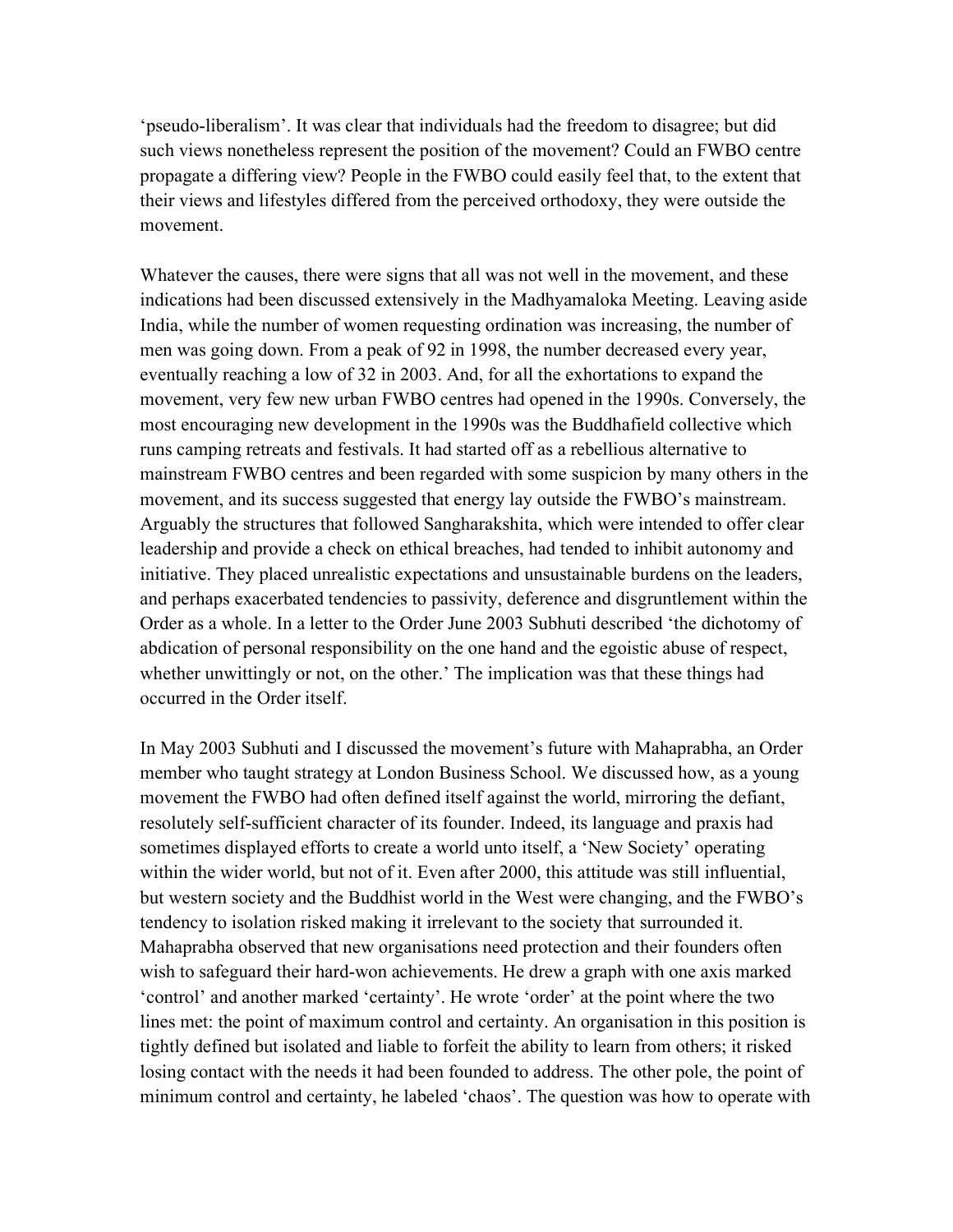'pseudo-liberalism'. It was clear that individuals had the freedom to disagree; but did such views nonetheless represent the position of the movement? Could an FWBO centre propagate a differing view? People in the FWBO could easily feel that, to the extent that their views and lifestyles differed from the perceived orthodoxy, they were outside the movement.

Whatever the causes, there were signs that all was not well in the movement, and these indications had been discussed extensively in the Madhyamaloka Meeting. Leaving aside India, while the number of women requesting ordination was increasing, the number of men was going down. From a peak of 92 in 1998, the number decreased every year, eventually reaching a low of 32 in 2003. And, for all the exhortations to expand the movement, very few new urban FWBO centres had opened in the 1990s. Conversely, the most encouraging new development in the 1990s was the Buddhafield collective which runs camping retreats and festivals. It had started off as a rebellious alternative to mainstream FWBO centres and been regarded with some suspicion by many others in the movement, and its success suggested that energy lay outside the FWBO's mainstream. Arguably the structures that followed Sangharakshita, which were intended to offer clear leadership and provide a check on ethical breaches, had tended to inhibit autonomy and initiative. They placed unrealistic expectations and unsustainable burdens on the leaders, and perhaps exacerbated tendencies to passivity, deference and disgruntlement within the Order as a whole. In a letter to the Order June 2003 Subhuti described 'the dichotomy of abdication of personal responsibility on the one hand and the egoistic abuse of respect, whether unwittingly or not, on the other.' The implication was that these things had occurred in the Order itself.

In May 2003 Subhuti and I discussed the movement's future with Mahaprabha, an Order member who taught strategy at London Business School. We discussed how, as a young movement the FWBO had often defined itself against the world, mirroring the defiant, resolutely self-sufficient character of its founder. Indeed, its language and praxis had sometimes displayed efforts to create a world unto itself, a 'New Society' operating within the wider world, but not of it. Even after 2000, this attitude was still influential, but western society and the Buddhist world in the West were changing, and the FWBO's tendency to isolation risked making it irrelevant to the society that surrounded it. Mahaprabha observed that new organisations need protection and their founders often wish to safeguard their hard-won achievements. He drew a graph with one axis marked 'control' and another marked 'certainty'. He wrote 'order' at the point where the two lines met: the point of maximum control and certainty. An organisation in this position is tightly defined but isolated and liable to forfeit the ability to learn from others; it risked losing contact with the needs it had been founded to address. The other pole, the point of minimum control and certainty, he labeled 'chaos'. The question was how to operate with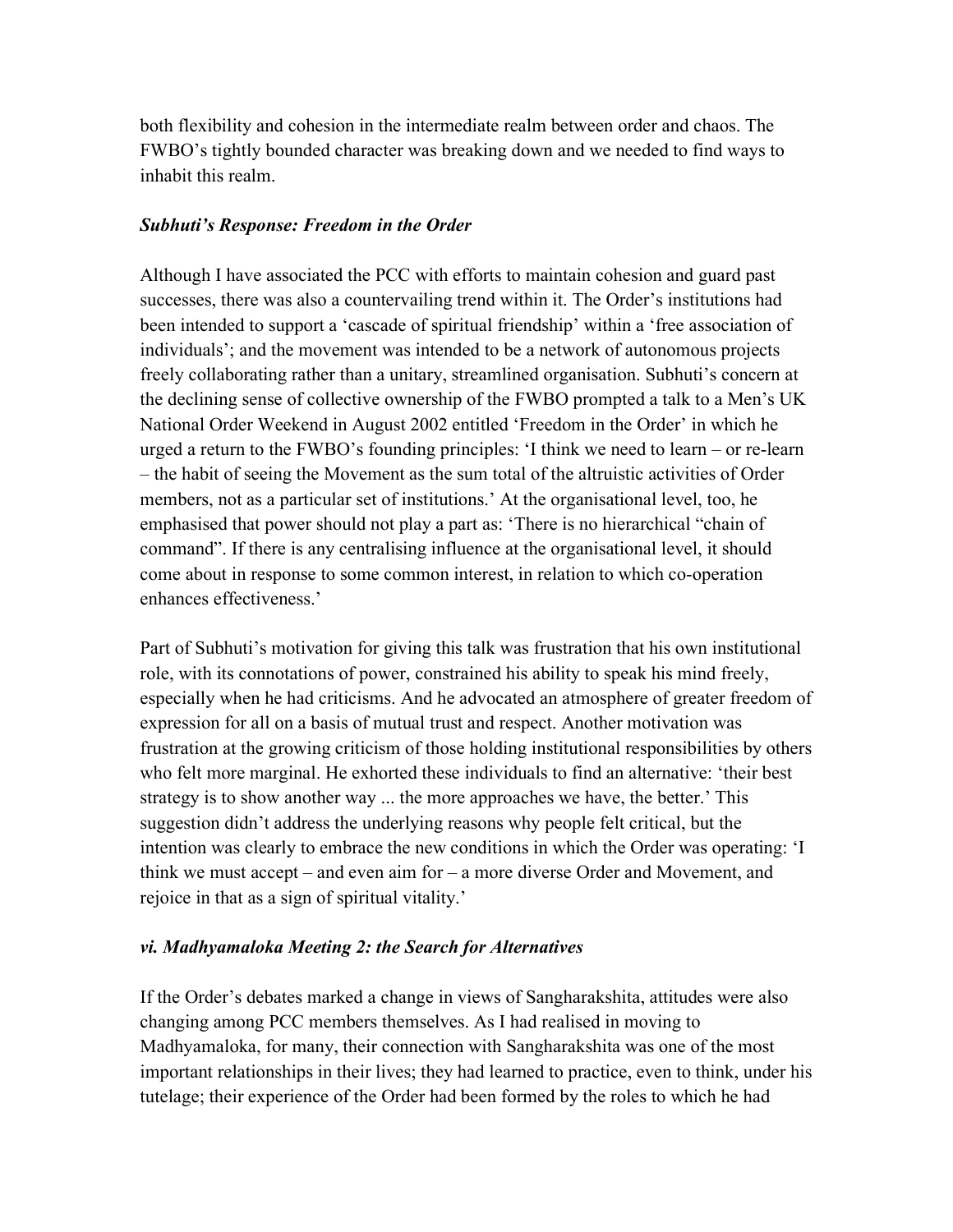both flexibility and cohesion in the intermediate realm between order and chaos. The FWBO's tightly bounded character was breaking down and we needed to find ways to inhabit this realm.

#### *Subhuti's Response: Freedom in the Order*

Although I have associated the PCC with efforts to maintain cohesion and guard past successes, there was also a countervailing trend within it. The Order's institutions had been intended to support a 'cascade of spiritual friendship' within a 'free association of individuals'; and the movement was intended to be a network of autonomous projects freely collaborating rather than a unitary, streamlined organisation. Subhuti's concern at the declining sense of collective ownership of the FWBO prompted a talk to a Men's UK National Order Weekend in August 2002 entitled 'Freedom in the Order' in which he urged a return to the FWBO's founding principles: 'I think we need to learn – or re-learn – the habit of seeing the Movement as the sum total of the altruistic activities of Order members, not as a particular set of institutions.' At the organisational level, too, he emphasised that power should not play a part as: 'There is no hierarchical "chain of command". If there is any centralising influence at the organisational level, it should come about in response to some common interest, in relation to which co-operation enhances effectiveness.'

Part of Subhuti's motivation for giving this talk was frustration that his own institutional role, with its connotations of power, constrained his ability to speak his mind freely, especially when he had criticisms. And he advocated an atmosphere of greater freedom of expression for all on a basis of mutual trust and respect. Another motivation was frustration at the growing criticism of those holding institutional responsibilities by others who felt more marginal. He exhorted these individuals to find an alternative: 'their best strategy is to show another way ... the more approaches we have, the better.' This suggestion didn't address the underlying reasons why people felt critical, but the intention was clearly to embrace the new conditions in which the Order was operating: 'I think we must accept – and even aim for – a more diverse Order and Movement, and rejoice in that as a sign of spiritual vitality.'

#### *vi. Madhyamaloka Meeting 2: the Search for Alternatives*

If the Order's debates marked a change in views of Sangharakshita, attitudes were also changing among PCC members themselves. As I had realised in moving to Madhyamaloka, for many, their connection with Sangharakshita was one of the most important relationships in their lives; they had learned to practice, even to think, under his tutelage; their experience of the Order had been formed by the roles to which he had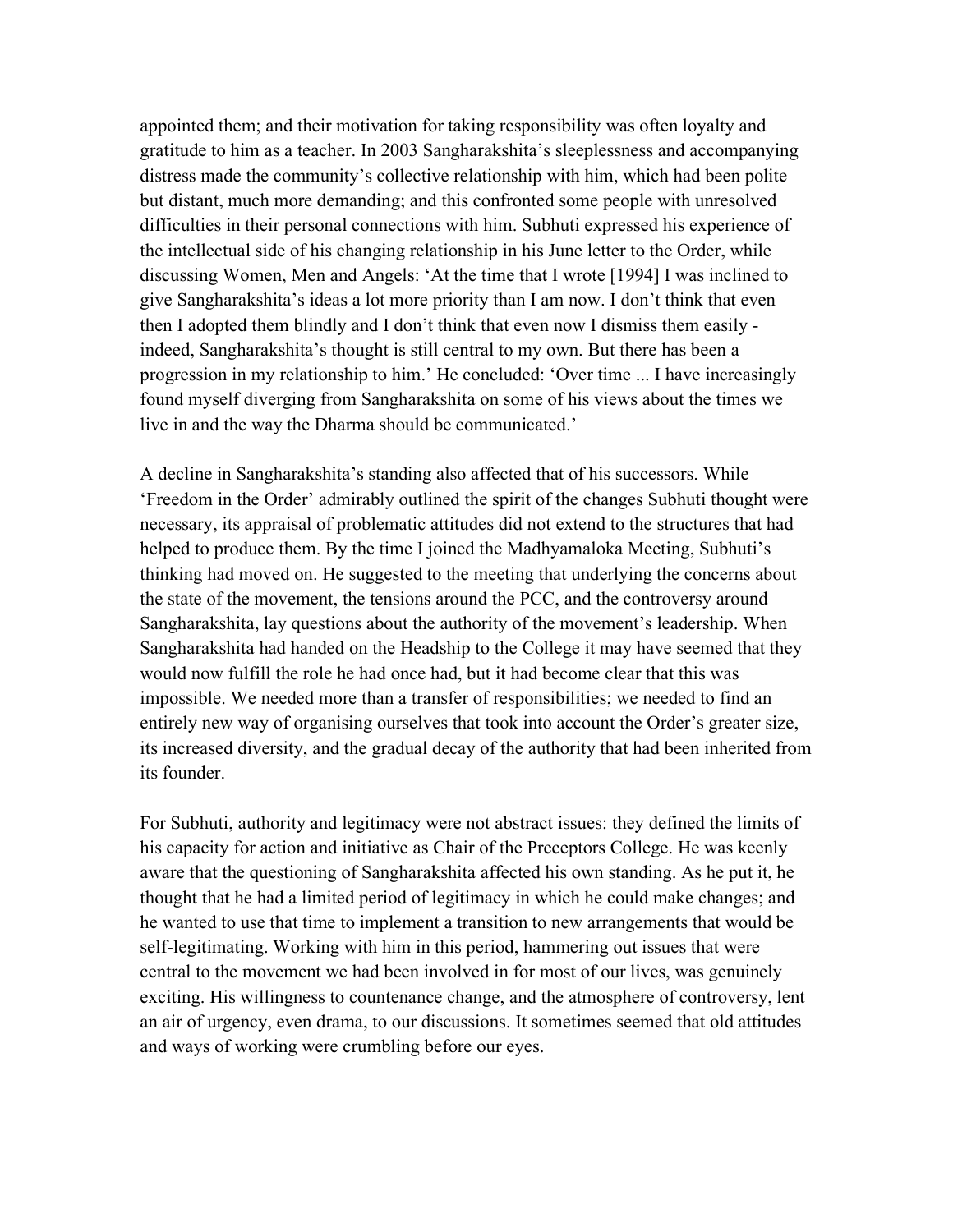appointed them; and their motivation for taking responsibility was often loyalty and gratitude to him as a teacher. In 2003 Sangharakshita's sleeplessness and accompanying distress made the community's collective relationship with him, which had been polite but distant, much more demanding; and this confronted some people with unresolved difficulties in their personal connections with him. Subhuti expressed his experience of the intellectual side of his changing relationship in his June letter to the Order, while discussing Women, Men and Angels: 'At the time that I wrote [1994] I was inclined to give Sangharakshita's ideas a lot more priority than I am now. I don't think that even then I adopted them blindly and I don't think that even now I dismiss them easily indeed, Sangharakshita's thought is still central to my own. But there has been a progression in my relationship to him.' He concluded: 'Over time ... I have increasingly found myself diverging from Sangharakshita on some of his views about the times we live in and the way the Dharma should be communicated.'

A decline in Sangharakshita's standing also affected that of his successors. While 'Freedom in the Order' admirably outlined the spirit of the changes Subhuti thought were necessary, its appraisal of problematic attitudes did not extend to the structures that had helped to produce them. By the time I joined the Madhyamaloka Meeting, Subhuti's thinking had moved on. He suggested to the meeting that underlying the concerns about the state of the movement, the tensions around the PCC, and the controversy around Sangharakshita, lay questions about the authority of the movement's leadership. When Sangharakshita had handed on the Headship to the College it may have seemed that they would now fulfill the role he had once had, but it had become clear that this was impossible. We needed more than a transfer of responsibilities; we needed to find an entirely new way of organising ourselves that took into account the Order's greater size, its increased diversity, and the gradual decay of the authority that had been inherited from its founder.

For Subhuti, authority and legitimacy were not abstract issues: they defined the limits of his capacity for action and initiative as Chair of the Preceptors College. He was keenly aware that the questioning of Sangharakshita affected his own standing. As he put it, he thought that he had a limited period of legitimacy in which he could make changes; and he wanted to use that time to implement a transition to new arrangements that would be self-legitimating. Working with him in this period, hammering out issues that were central to the movement we had been involved in for most of our lives, was genuinely exciting. His willingness to countenance change, and the atmosphere of controversy, lent an air of urgency, even drama, to our discussions. It sometimes seemed that old attitudes and ways of working were crumbling before our eyes.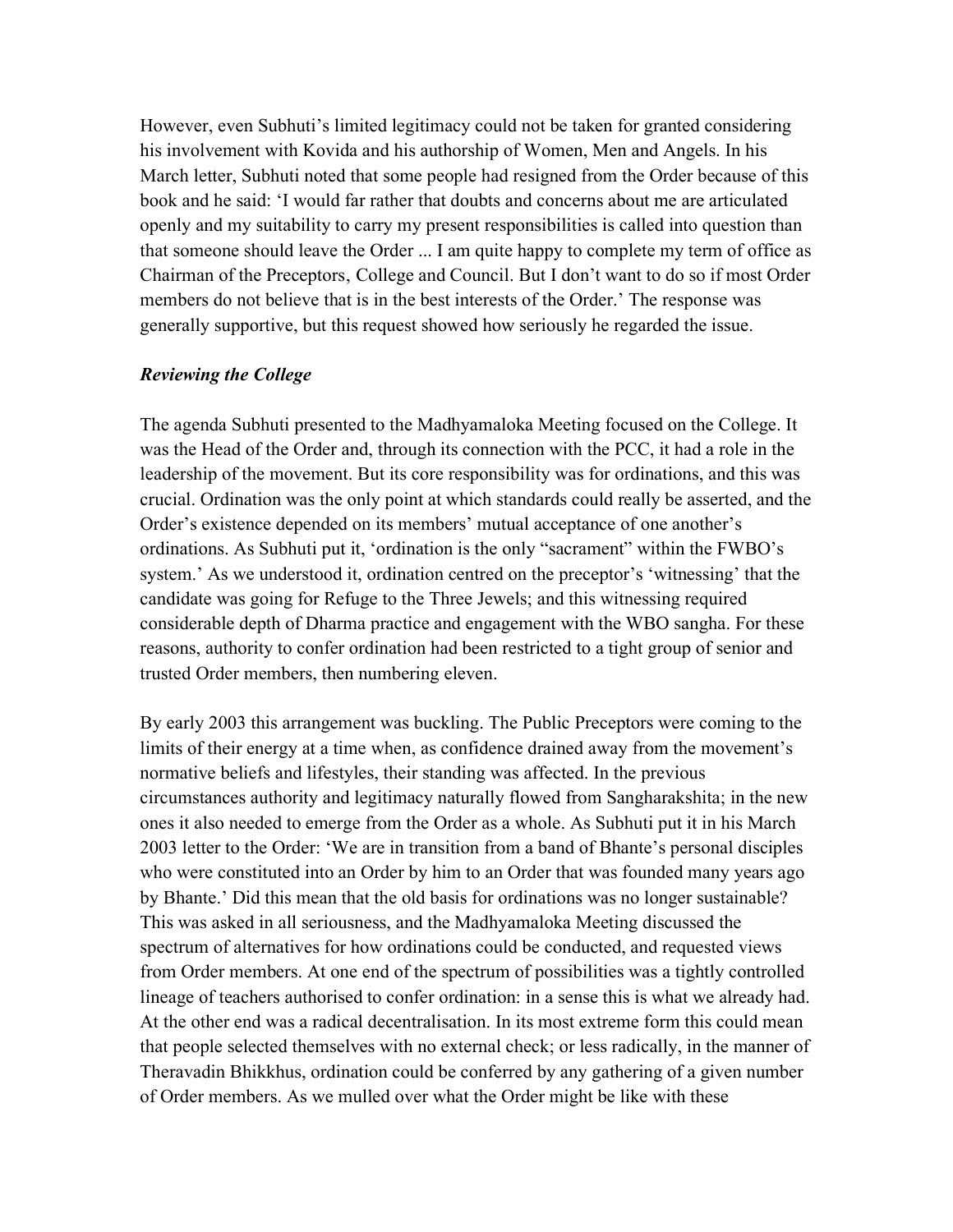However, even Subhuti's limited legitimacy could not be taken for granted considering his involvement with Kovida and his authorship of Women, Men and Angels. In his March letter, Subhuti noted that some people had resigned from the Order because of this book and he said: 'I would far rather that doubts and concerns about me are articulated openly and my suitability to carry my present responsibilities is called into question than that someone should leave the Order ... I am quite happy to complete my term of office as Chairman of the Preceptors, College and Council. But I don't want to do so if most Order members do not believe that is in the best interests of the Order.' The response was generally supportive, but this request showed how seriously he regarded the issue.

#### *Reviewing the College*

The agenda Subhuti presented to the Madhyamaloka Meeting focused on the College. It was the Head of the Order and, through its connection with the PCC, it had a role in the leadership of the movement. But its core responsibility was for ordinations, and this was crucial. Ordination was the only point at which standards could really be asserted, and the Order's existence depended on its members' mutual acceptance of one another's ordinations. As Subhuti put it, 'ordination is the only "sacrament" within the FWBO's system.' As we understood it, ordination centred on the preceptor's 'witnessing' that the candidate was going for Refuge to the Three Jewels; and this witnessing required considerable depth of Dharma practice and engagement with the WBO sangha. For these reasons, authority to confer ordination had been restricted to a tight group of senior and trusted Order members, then numbering eleven.

By early 2003 this arrangement was buckling. The Public Preceptors were coming to the limits of their energy at a time when, as confidence drained away from the movement's normative beliefs and lifestyles, their standing was affected. In the previous circumstances authority and legitimacy naturally flowed from Sangharakshita; in the new ones it also needed to emerge from the Order as a whole. As Subhuti put it in his March 2003 letter to the Order: 'We are in transition from a band of Bhante's personal disciples who were constituted into an Order by him to an Order that was founded many years ago by Bhante.' Did this mean that the old basis for ordinations was no longer sustainable? This was asked in all seriousness, and the Madhyamaloka Meeting discussed the spectrum of alternatives for how ordinations could be conducted, and requested views from Order members. At one end of the spectrum of possibilities was a tightly controlled lineage of teachers authorised to confer ordination: in a sense this is what we already had. At the other end was a radical decentralisation. In its most extreme form this could mean that people selected themselves with no external check; or less radically, in the manner of Theravadin Bhikkhus, ordination could be conferred by any gathering of a given number of Order members. As we mulled over what the Order might be like with these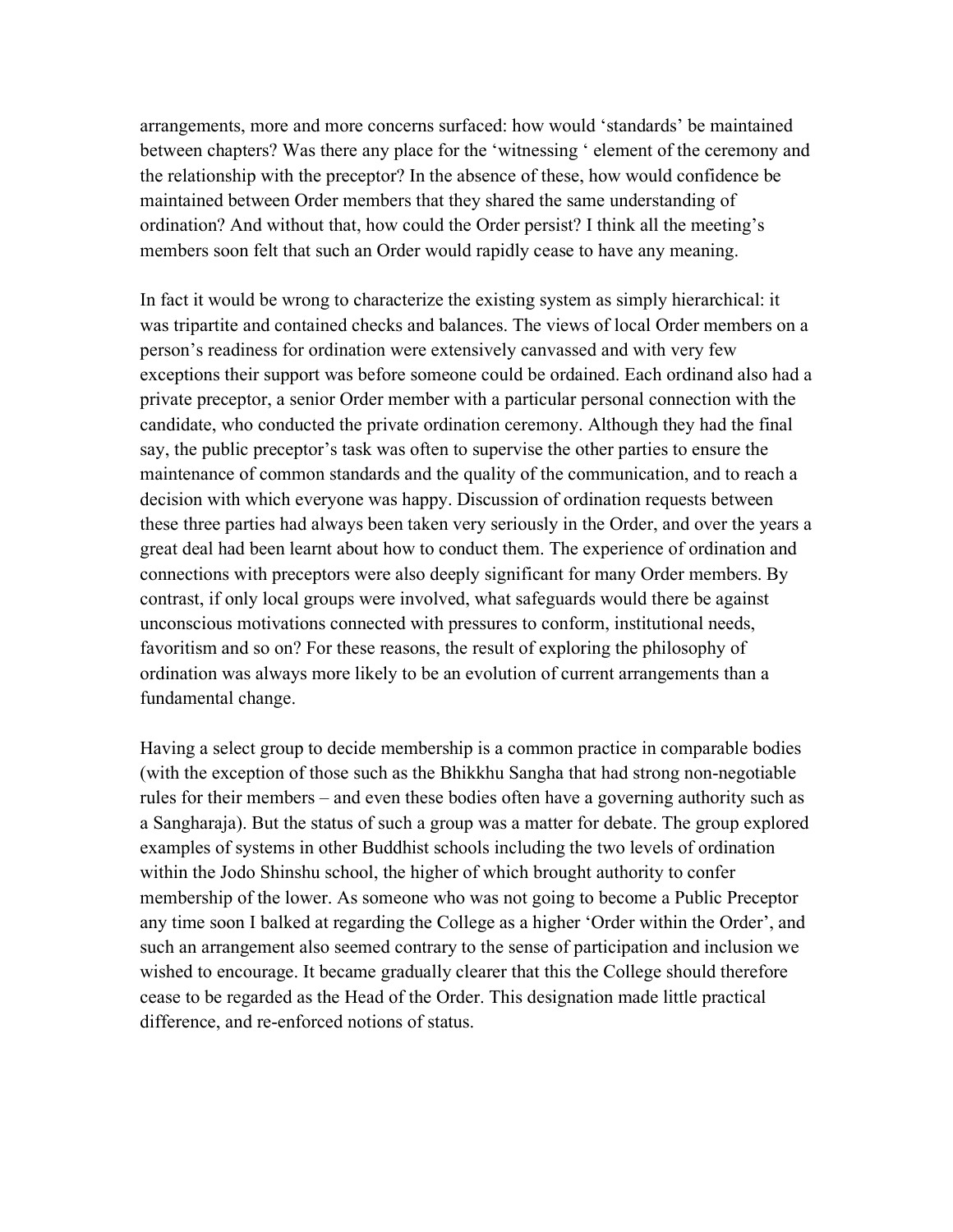arrangements, more and more concerns surfaced: how would 'standards' be maintained between chapters? Was there any place for the 'witnessing ' element of the ceremony and the relationship with the preceptor? In the absence of these, how would confidence be maintained between Order members that they shared the same understanding of ordination? And without that, how could the Order persist? I think all the meeting's members soon felt that such an Order would rapidly cease to have any meaning.

In fact it would be wrong to characterize the existing system as simply hierarchical: it was tripartite and contained checks and balances. The views of local Order members on a person's readiness for ordination were extensively canvassed and with very few exceptions their support was before someone could be ordained. Each ordinand also had a private preceptor, a senior Order member with a particular personal connection with the candidate, who conducted the private ordination ceremony. Although they had the final say, the public preceptor's task was often to supervise the other parties to ensure the maintenance of common standards and the quality of the communication, and to reach a decision with which everyone was happy. Discussion of ordination requests between these three parties had always been taken very seriously in the Order, and over the years a great deal had been learnt about how to conduct them. The experience of ordination and connections with preceptors were also deeply significant for many Order members. By contrast, if only local groups were involved, what safeguards would there be against unconscious motivations connected with pressures to conform, institutional needs, favoritism and so on? For these reasons, the result of exploring the philosophy of ordination was always more likely to be an evolution of current arrangements than a fundamental change.

Having a select group to decide membership is a common practice in comparable bodies (with the exception of those such as the Bhikkhu Sangha that had strong non-negotiable rules for their members – and even these bodies often have a governing authority such as a Sangharaja). But the status of such a group was a matter for debate. The group explored examples of systems in other Buddhist schools including the two levels of ordination within the Jodo Shinshu school, the higher of which brought authority to confer membership of the lower. As someone who was not going to become a Public Preceptor any time soon I balked at regarding the College as a higher 'Order within the Order', and such an arrangement also seemed contrary to the sense of participation and inclusion we wished to encourage. It became gradually clearer that this the College should therefore cease to be regarded as the Head of the Order. This designation made little practical difference, and re-enforced notions of status.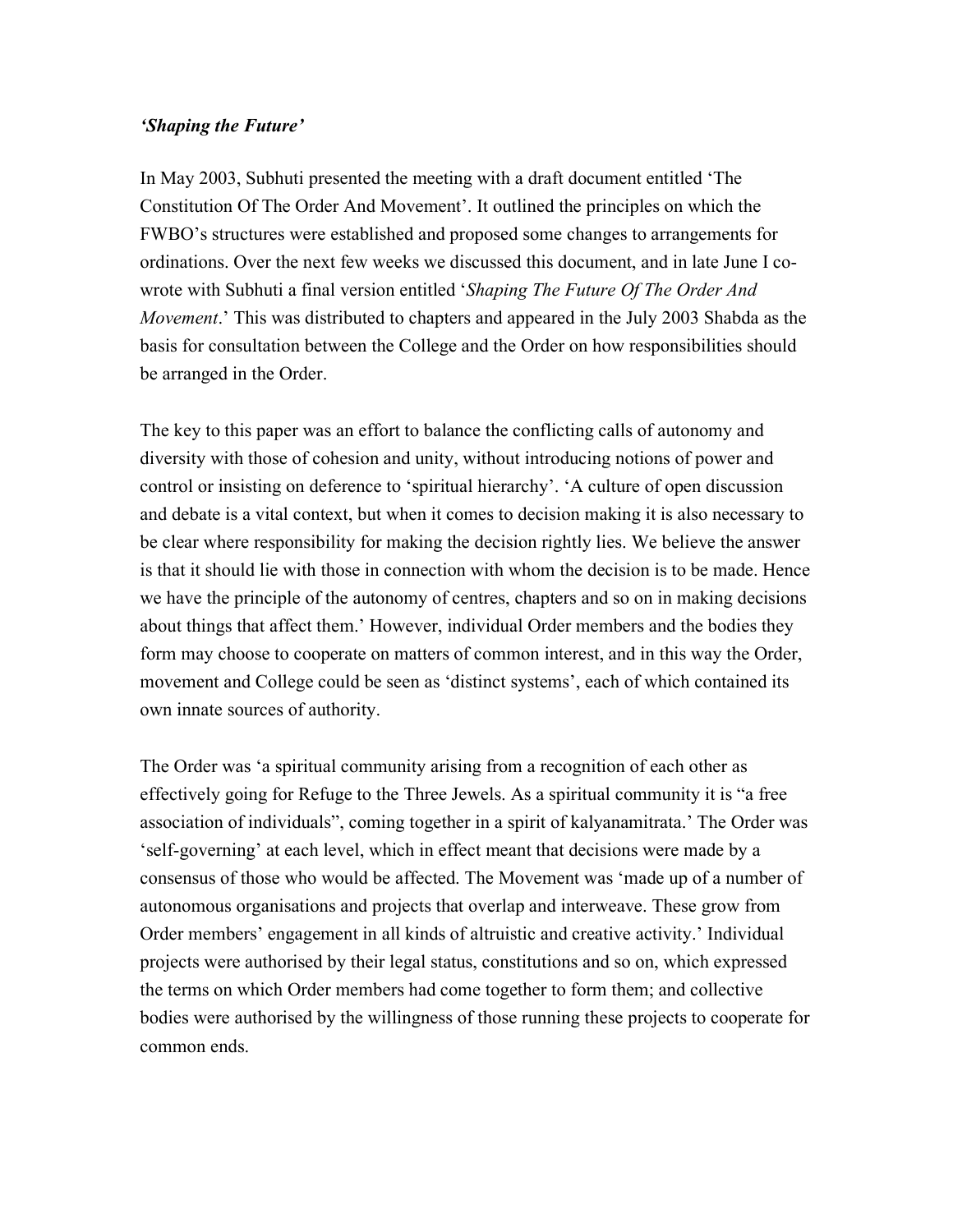#### *'Shaping the Future'*

In May 2003, Subhuti presented the meeting with a draft document entitled 'The Constitution Of The Order And Movement'. It outlined the principles on which the FWBO's structures were established and proposed some changes to arrangements for ordinations. Over the next few weeks we discussed this document, and in late June I cowrote with Subhuti a final version entitled '*Shaping The Future Of The Order And Movement*.' This was distributed to chapters and appeared in the July 2003 Shabda as the basis for consultation between the College and the Order on how responsibilities should be arranged in the Order.

The key to this paper was an effort to balance the conflicting calls of autonomy and diversity with those of cohesion and unity, without introducing notions of power and control or insisting on deference to 'spiritual hierarchy'. 'A culture of open discussion and debate is a vital context, but when it comes to decision making it is also necessary to be clear where responsibility for making the decision rightly lies. We believe the answer is that it should lie with those in connection with whom the decision is to be made. Hence we have the principle of the autonomy of centres, chapters and so on in making decisions about things that affect them.' However, individual Order members and the bodies they form may choose to cooperate on matters of common interest, and in this way the Order, movement and College could be seen as 'distinct systems', each of which contained its own innate sources of authority.

The Order was 'a spiritual community arising from a recognition of each other as effectively going for Refuge to the Three Jewels. As a spiritual community it is "a free association of individuals", coming together in a spirit of kalyanamitrata.' The Order was 'self-governing' at each level, which in effect meant that decisions were made by a consensus of those who would be affected. The Movement was 'made up of a number of autonomous organisations and projects that overlap and interweave. These grow from Order members' engagement in all kinds of altruistic and creative activity.' Individual projects were authorised by their legal status, constitutions and so on, which expressed the terms on which Order members had come together to form them; and collective bodies were authorised by the willingness of those running these projects to cooperate for common ends.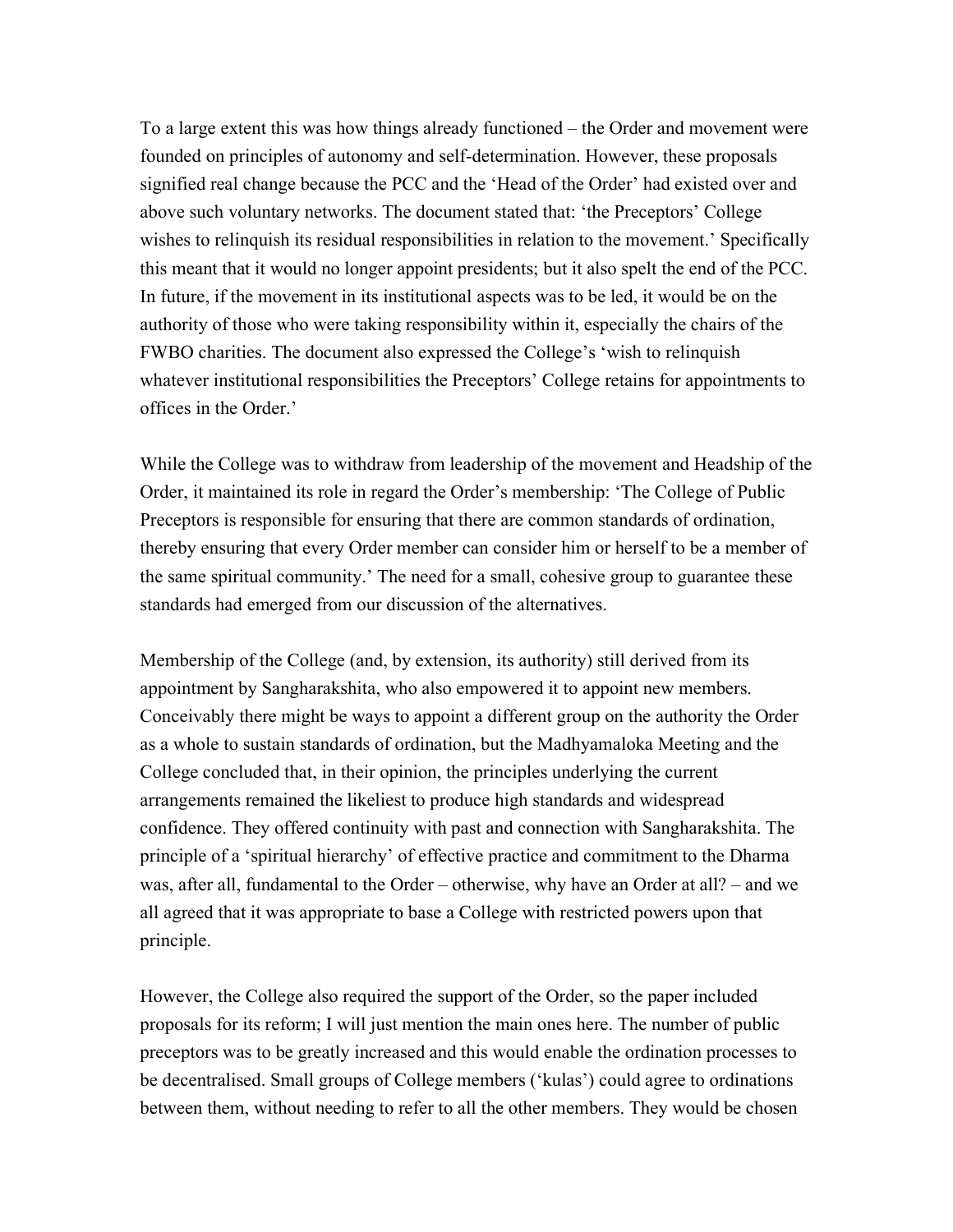To a large extent this was how things already functioned – the Order and movement were founded on principles of autonomy and self-determination. However, these proposals signified real change because the PCC and the 'Head of the Order' had existed over and above such voluntary networks. The document stated that: 'the Preceptors' College wishes to relinquish its residual responsibilities in relation to the movement.' Specifically this meant that it would no longer appoint presidents; but it also spelt the end of the PCC. In future, if the movement in its institutional aspects was to be led, it would be on the authority of those who were taking responsibility within it, especially the chairs of the FWBO charities. The document also expressed the College's 'wish to relinquish whatever institutional responsibilities the Preceptors' College retains for appointments to offices in the Order.'

While the College was to withdraw from leadership of the movement and Headship of the Order, it maintained its role in regard the Order's membership: 'The College of Public Preceptors is responsible for ensuring that there are common standards of ordination, thereby ensuring that every Order member can consider him or herself to be a member of the same spiritual community.' The need for a small, cohesive group to guarantee these standards had emerged from our discussion of the alternatives.

Membership of the College (and, by extension, its authority) still derived from its appointment by Sangharakshita, who also empowered it to appoint new members. Conceivably there might be ways to appoint a different group on the authority the Order as a whole to sustain standards of ordination, but the Madhyamaloka Meeting and the College concluded that, in their opinion, the principles underlying the current arrangements remained the likeliest to produce high standards and widespread confidence. They offered continuity with past and connection with Sangharakshita. The principle of a 'spiritual hierarchy' of effective practice and commitment to the Dharma was, after all, fundamental to the Order – otherwise, why have an Order at all? – and we all agreed that it was appropriate to base a College with restricted powers upon that principle.

However, the College also required the support of the Order, so the paper included proposals for its reform; I will just mention the main ones here. The number of public preceptors was to be greatly increased and this would enable the ordination processes to be decentralised. Small groups of College members ('kulas') could agree to ordinations between them, without needing to refer to all the other members. They would be chosen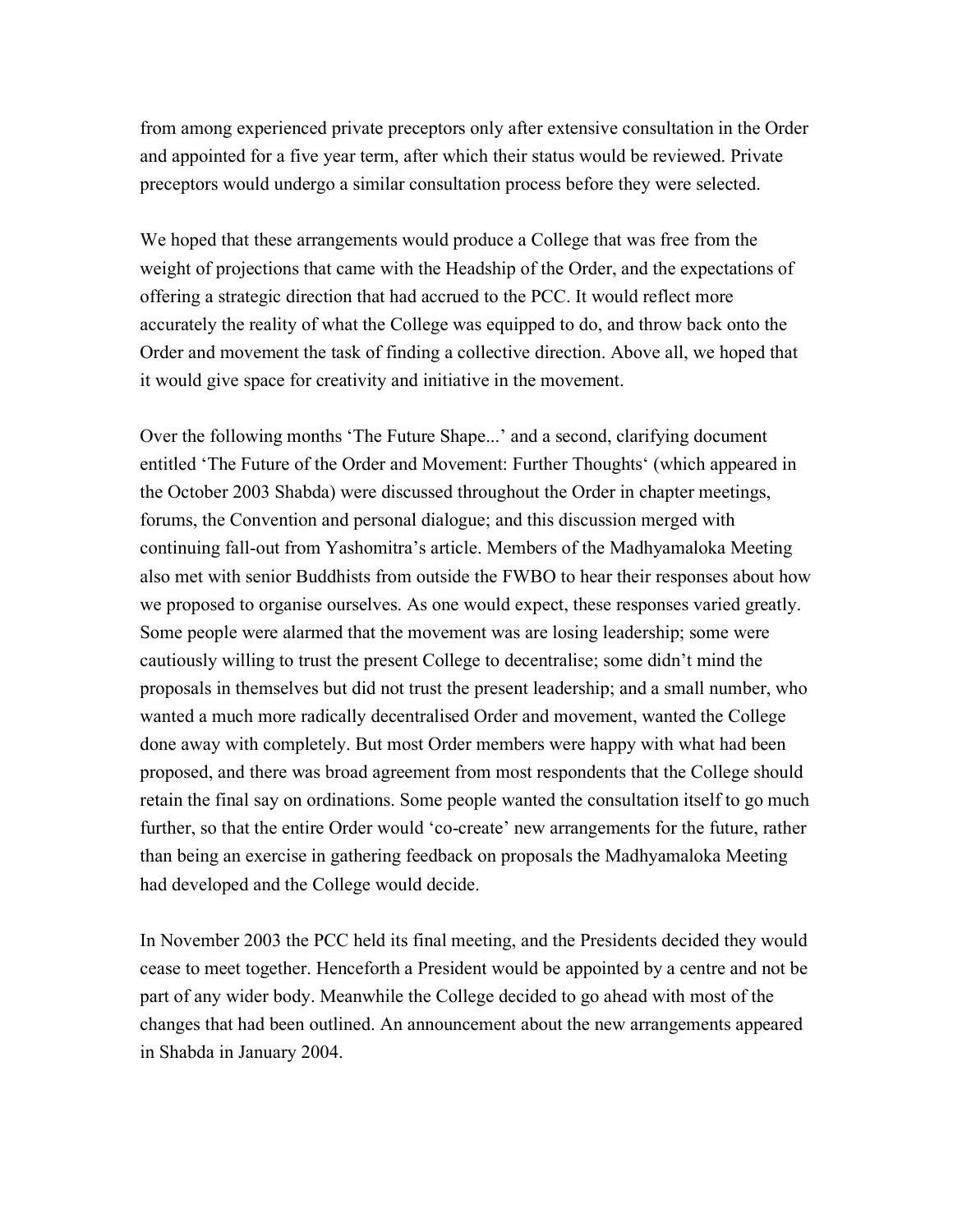from among experienced private preceptors only after extensive consultation in the Order and appointed for a five year term, after which their status would be reviewed. Private preceptors would undergo a similar consultation process before they were selected.

We hoped that these arrangements would produce a College that was free from the weight of projections that came with the Headship of the Order, and the expectations of offering a strategic direction that had accrued to the PCC. It would reflect more accurately the reality of what the College was equipped to do, and throw back onto the Order and movement the task of finding a collective direction. Above all, we hoped that it would give space for creativity and initiative in the movement.

Over the following months 'The Future Shape...' and a second, clarifying document entitled 'The Future of the Order and Movement: Further Thoughts' (which appeared in the October 2003 Shabda) were discussed throughout the Order in chapter meetings, forums, the Convention and personal dialogue; and this discussion merged with continuing fall-out from Yashomitra's article. Members of the Madhyamaloka Meeting also met with senior Buddhists from outside the FWBO to hear their responses about how we proposed to organise ourselves. As one would expect, these responses varied greatly. Some people were alarmed that the movement was are losing leadership; some were cautiously willing to trust the present College to decentralise; some didn't mind the proposals in themselves but did not trust the present leadership; and a small number, who wanted a much more radically decentralised Order and movement, wanted the College done away with completely. But most Order members were happy with what had been proposed, and there was broad agreement from most respondents that the College should retain the final say on ordinations. Some people wanted the consultation itself to go much further, so that the entire Order would 'co-create' new arrangements for the future, rather than being an exercise in gathering feedback on proposals the Madhyamaloka Meeting had developed and the College would decide.

In November 2003 the PCC held its final meeting, and the Presidents decided they would cease to meet together. Henceforth a President would be appointed by a centre and not be part of any wider body. Meanwhile the College decided to go ahead with most of the changes that had been outlined. An announcement about the new arrangements appeared in Shabda in January 2004.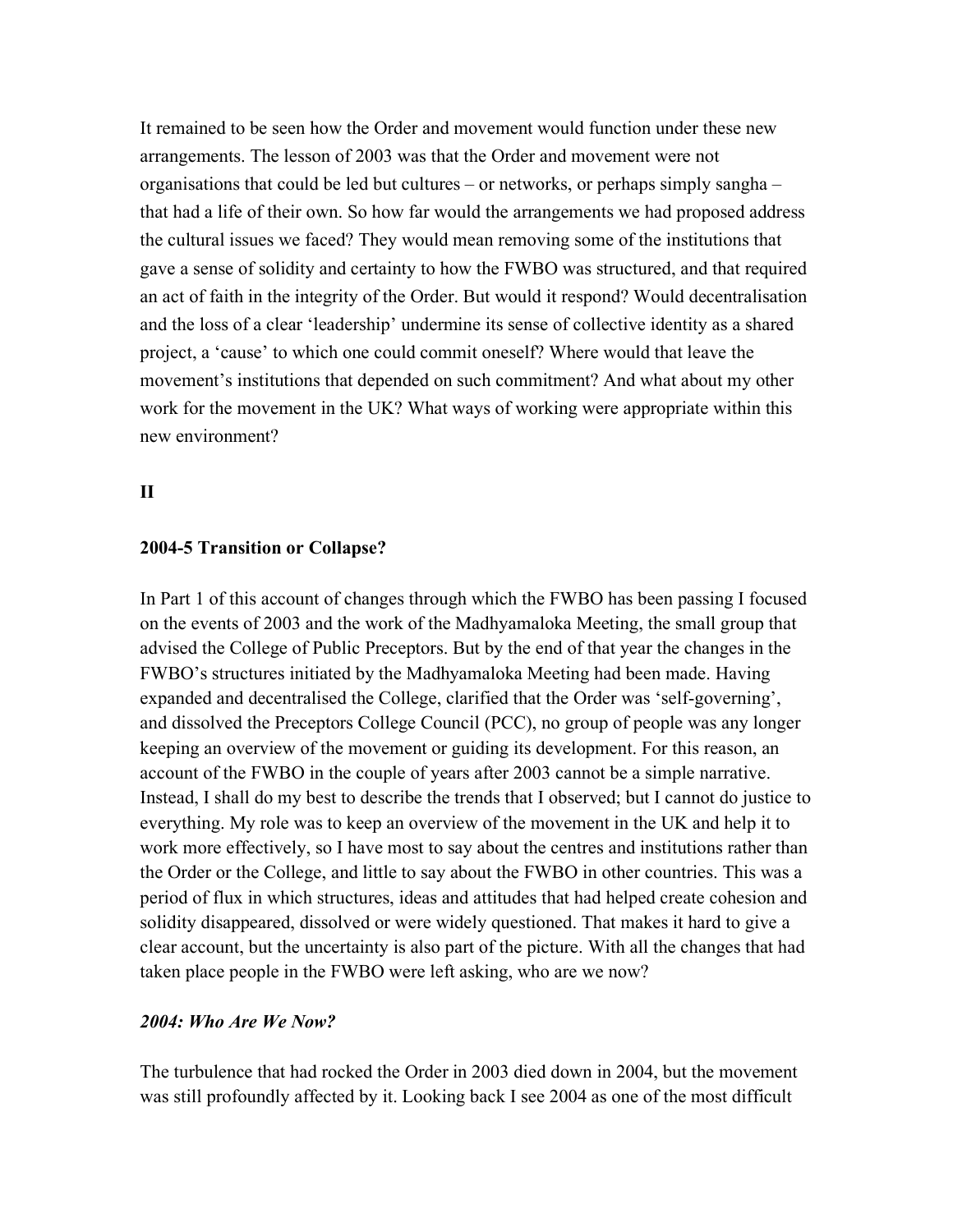It remained to be seen how the Order and movement would function under these new arrangements. The lesson of 2003 was that the Order and movement were not organisations that could be led but cultures – or networks, or perhaps simply sangha – that had a life of their own. So how far would the arrangements we had proposed address the cultural issues we faced? They would mean removing some of the institutions that gave a sense of solidity and certainty to how the FWBO was structured, and that required an act of faith in the integrity of the Order. But would it respond? Would decentralisation and the loss of a clear 'leadership' undermine its sense of collective identity as a shared project, a 'cause' to which one could commit oneself? Where would that leave the movement's institutions that depended on such commitment? And what about my other work for the movement in the UK? What ways of working were appropriate within this new environment?

### **II**

#### **2004-5 Transition or Collapse?**

In Part 1 of this account of changes through which the FWBO has been passing I focused on the events of 2003 and the work of the Madhyamaloka Meeting, the small group that advised the College of Public Preceptors. But by the end of that year the changes in the FWBO's structures initiated by the Madhyamaloka Meeting had been made. Having expanded and decentralised the College, clarified that the Order was 'self-governing', and dissolved the Preceptors College Council (PCC), no group of people was any longer keeping an overview of the movement or guiding its development. For this reason, an account of the FWBO in the couple of years after 2003 cannot be a simple narrative. Instead, I shall do my best to describe the trends that I observed; but I cannot do justice to everything. My role was to keep an overview of the movement in the UK and help it to work more effectively, so I have most to say about the centres and institutions rather than the Order or the College, and little to say about the FWBO in other countries. This was a period of flux in which structures, ideas and attitudes that had helped create cohesion and solidity disappeared, dissolved or were widely questioned. That makes it hard to give a clear account, but the uncertainty is also part of the picture. With all the changes that had taken place people in the FWBO were left asking, who are we now?

#### *2004: Who Are We Now?*

The turbulence that had rocked the Order in 2003 died down in 2004, but the movement was still profoundly affected by it. Looking back I see 2004 as one of the most difficult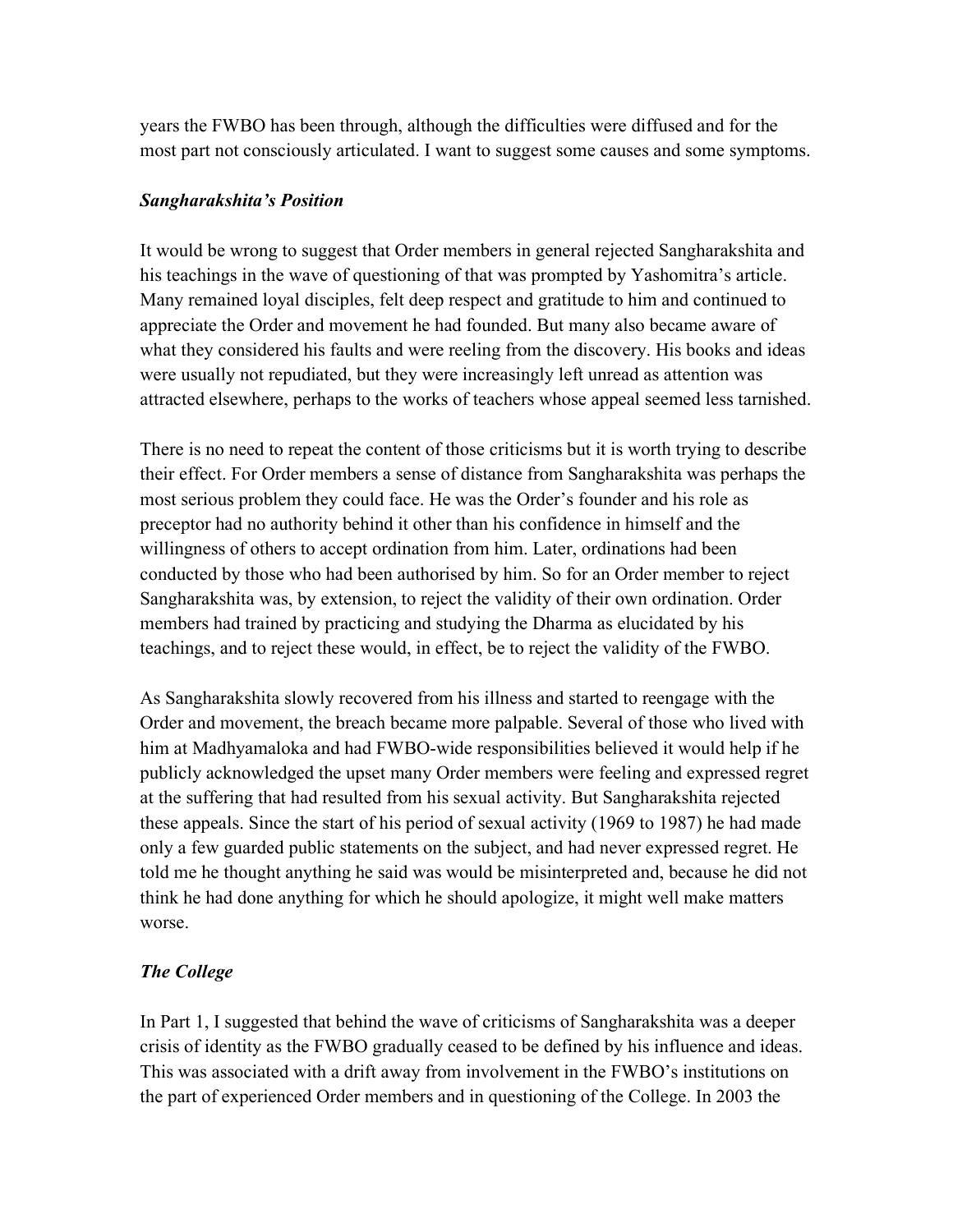years the FWBO has been through, although the difficulties were diffused and for the most part not consciously articulated. I want to suggest some causes and some symptoms.

## *Sangharakshita's Position*

It would be wrong to suggest that Order members in general rejected Sangharakshita and his teachings in the wave of questioning of that was prompted by Yashomitra's article. Many remained loyal disciples, felt deep respect and gratitude to him and continued to appreciate the Order and movement he had founded. But many also became aware of what they considered his faults and were reeling from the discovery. His books and ideas were usually not repudiated, but they were increasingly left unread as attention was attracted elsewhere, perhaps to the works of teachers whose appeal seemed less tarnished.

There is no need to repeat the content of those criticisms but it is worth trying to describe their effect. For Order members a sense of distance from Sangharakshita was perhaps the most serious problem they could face. He was the Order's founder and his role as preceptor had no authority behind it other than his confidence in himself and the willingness of others to accept ordination from him. Later, ordinations had been conducted by those who had been authorised by him. So for an Order member to reject Sangharakshita was, by extension, to reject the validity of their own ordination. Order members had trained by practicing and studying the Dharma as elucidated by his teachings, and to reject these would, in effect, be to reject the validity of the FWBO.

As Sangharakshita slowly recovered from his illness and started to reengage with the Order and movement, the breach became more palpable. Several of those who lived with him at Madhyamaloka and had FWBO-wide responsibilities believed it would help if he publicly acknowledged the upset many Order members were feeling and expressed regret at the suffering that had resulted from his sexual activity. But Sangharakshita rejected these appeals. Since the start of his period of sexual activity (1969 to 1987) he had made only a few guarded public statements on the subject, and had never expressed regret. He told me he thought anything he said was would be misinterpreted and, because he did not think he had done anything for which he should apologize, it might well make matters worse.

# *The College*

In Part 1, I suggested that behind the wave of criticisms of Sangharakshita was a deeper crisis of identity as the FWBO gradually ceased to be defined by his influence and ideas. This was associated with a drift away from involvement in the FWBO's institutions on the part of experienced Order members and in questioning of the College. In 2003 the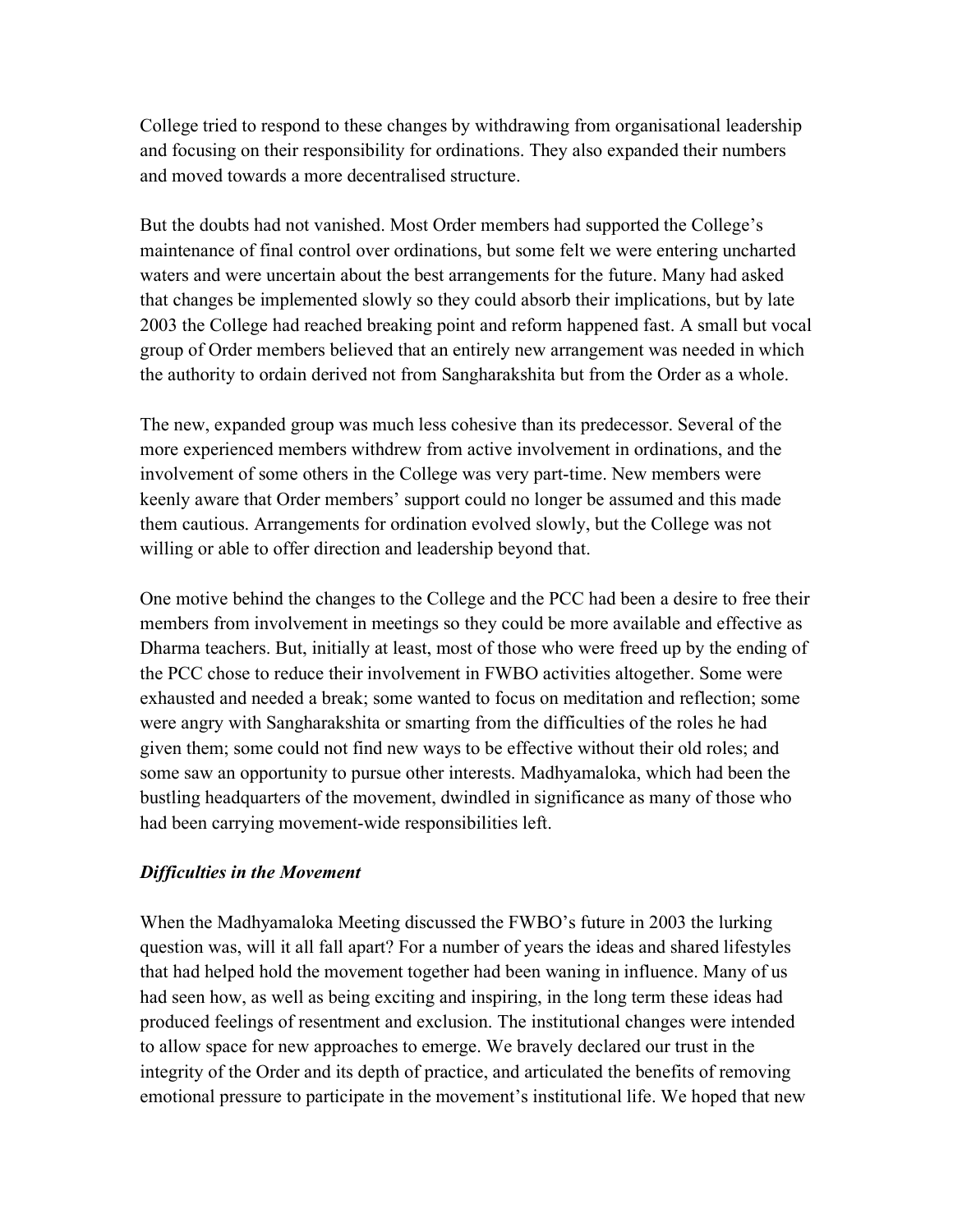College tried to respond to these changes by withdrawing from organisational leadership and focusing on their responsibility for ordinations. They also expanded their numbers and moved towards a more decentralised structure.

But the doubts had not vanished. Most Order members had supported the College's maintenance of final control over ordinations, but some felt we were entering uncharted waters and were uncertain about the best arrangements for the future. Many had asked that changes be implemented slowly so they could absorb their implications, but by late 2003 the College had reached breaking point and reform happened fast. A small but vocal group of Order members believed that an entirely new arrangement was needed in which the authority to ordain derived not from Sangharakshita but from the Order as a whole.

The new, expanded group was much less cohesive than its predecessor. Several of the more experienced members withdrew from active involvement in ordinations, and the involvement of some others in the College was very part-time. New members were keenly aware that Order members' support could no longer be assumed and this made them cautious. Arrangements for ordination evolved slowly, but the College was not willing or able to offer direction and leadership beyond that.

One motive behind the changes to the College and the PCC had been a desire to free their members from involvement in meetings so they could be more available and effective as Dharma teachers. But, initially at least, most of those who were freed up by the ending of the PCC chose to reduce their involvement in FWBO activities altogether. Some were exhausted and needed a break; some wanted to focus on meditation and reflection; some were angry with Sangharakshita or smarting from the difficulties of the roles he had given them; some could not find new ways to be effective without their old roles; and some saw an opportunity to pursue other interests. Madhyamaloka, which had been the bustling headquarters of the movement, dwindled in significance as many of those who had been carrying movement-wide responsibilities left.

#### *Difficulties in the Movement*

When the Madhyamaloka Meeting discussed the FWBO's future in 2003 the lurking question was, will it all fall apart? For a number of years the ideas and shared lifestyles that had helped hold the movement together had been waning in influence. Many of us had seen how, as well as being exciting and inspiring, in the long term these ideas had produced feelings of resentment and exclusion. The institutional changes were intended to allow space for new approaches to emerge. We bravely declared our trust in the integrity of the Order and its depth of practice, and articulated the benefits of removing emotional pressure to participate in the movement's institutional life. We hoped that new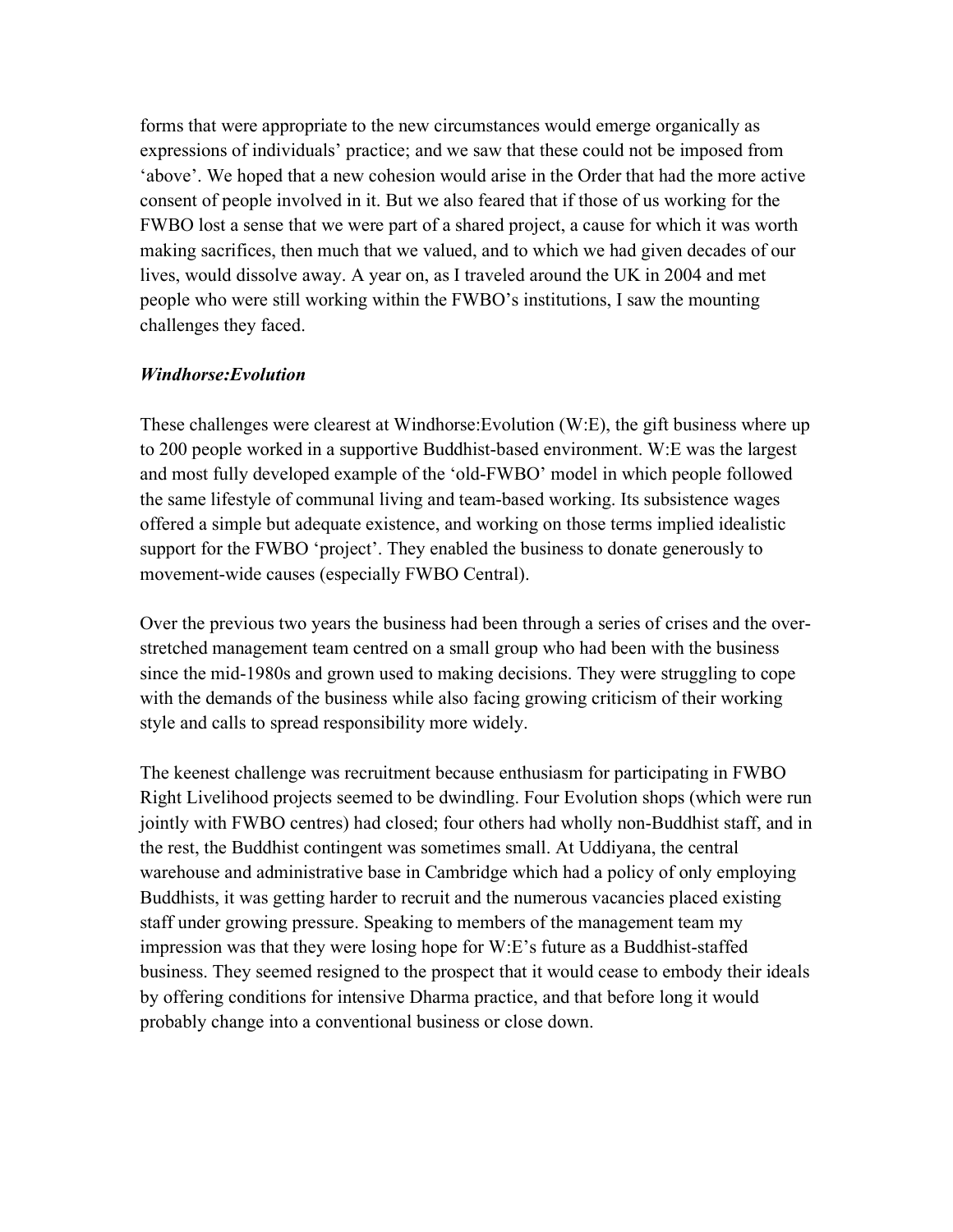forms that were appropriate to the new circumstances would emerge organically as expressions of individuals' practice; and we saw that these could not be imposed from 'above'. We hoped that a new cohesion would arise in the Order that had the more active consent of people involved in it. But we also feared that if those of us working for the FWBO lost a sense that we were part of a shared project, a cause for which it was worth making sacrifices, then much that we valued, and to which we had given decades of our lives, would dissolve away. A year on, as I traveled around the UK in 2004 and met people who were still working within the FWBO's institutions, I saw the mounting challenges they faced.

#### *Windhorse:Evolution*

These challenges were clearest at Windhorse:Evolution (W:E), the gift business where up to 200 people worked in a supportive Buddhist-based environment. W:E was the largest and most fully developed example of the 'old-FWBO' model in which people followed the same lifestyle of communal living and team-based working. Its subsistence wages offered a simple but adequate existence, and working on those terms implied idealistic support for the FWBO 'project'. They enabled the business to donate generously to movement-wide causes (especially FWBO Central).

Over the previous two years the business had been through a series of crises and the overstretched management team centred on a small group who had been with the business since the mid-1980s and grown used to making decisions. They were struggling to cope with the demands of the business while also facing growing criticism of their working style and calls to spread responsibility more widely.

The keenest challenge was recruitment because enthusiasm for participating in FWBO Right Livelihood projects seemed to be dwindling. Four Evolution shops (which were run jointly with FWBO centres) had closed; four others had wholly non-Buddhist staff, and in the rest, the Buddhist contingent was sometimes small. At Uddiyana, the central warehouse and administrative base in Cambridge which had a policy of only employing Buddhists, it was getting harder to recruit and the numerous vacancies placed existing staff under growing pressure. Speaking to members of the management team my impression was that they were losing hope for W:E's future as a Buddhist-staffed business. They seemed resigned to the prospect that it would cease to embody their ideals by offering conditions for intensive Dharma practice, and that before long it would probably change into a conventional business or close down.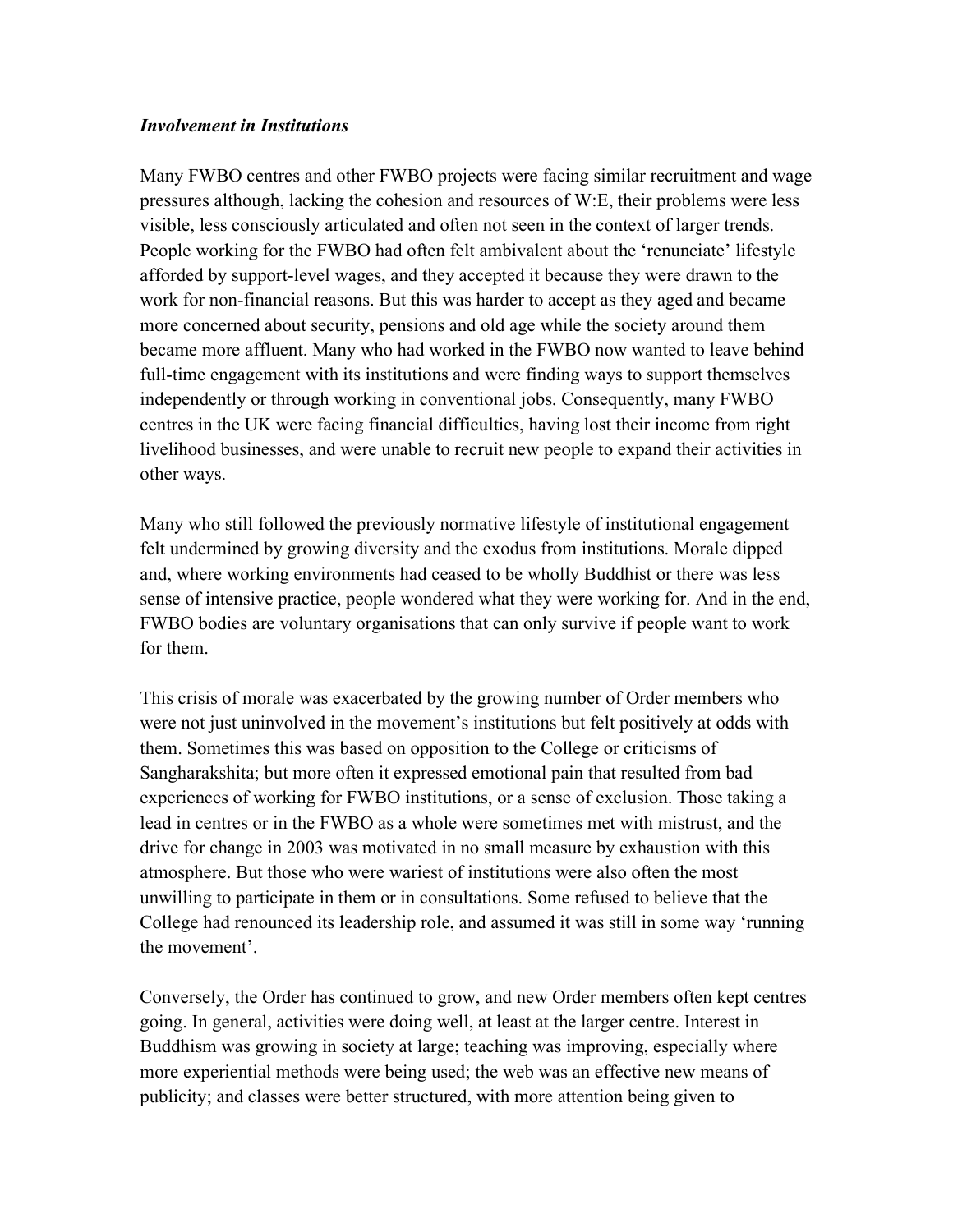#### *Involvement in Institutions*

Many FWBO centres and other FWBO projects were facing similar recruitment and wage pressures although, lacking the cohesion and resources of W:E, their problems were less visible, less consciously articulated and often not seen in the context of larger trends. People working for the FWBO had often felt ambivalent about the 'renunciate' lifestyle afforded by support-level wages, and they accepted it because they were drawn to the work for non-financial reasons. But this was harder to accept as they aged and became more concerned about security, pensions and old age while the society around them became more affluent. Many who had worked in the FWBO now wanted to leave behind full-time engagement with its institutions and were finding ways to support themselves independently or through working in conventional jobs. Consequently, many FWBO centres in the UK were facing financial difficulties, having lost their income from right livelihood businesses, and were unable to recruit new people to expand their activities in other ways.

Many who still followed the previously normative lifestyle of institutional engagement felt undermined by growing diversity and the exodus from institutions. Morale dipped and, where working environments had ceased to be wholly Buddhist or there was less sense of intensive practice, people wondered what they were working for. And in the end, FWBO bodies are voluntary organisations that can only survive if people want to work for them.

This crisis of morale was exacerbated by the growing number of Order members who were not just uninvolved in the movement's institutions but felt positively at odds with them. Sometimes this was based on opposition to the College or criticisms of Sangharakshita; but more often it expressed emotional pain that resulted from bad experiences of working for FWBO institutions, or a sense of exclusion. Those taking a lead in centres or in the FWBO as a whole were sometimes met with mistrust, and the drive for change in 2003 was motivated in no small measure by exhaustion with this atmosphere. But those who were wariest of institutions were also often the most unwilling to participate in them or in consultations. Some refused to believe that the College had renounced its leadership role, and assumed it was still in some way 'running the movement'.

Conversely, the Order has continued to grow, and new Order members often kept centres going. In general, activities were doing well, at least at the larger centre. Interest in Buddhism was growing in society at large; teaching was improving, especially where more experiential methods were being used; the web was an effective new means of publicity; and classes were better structured, with more attention being given to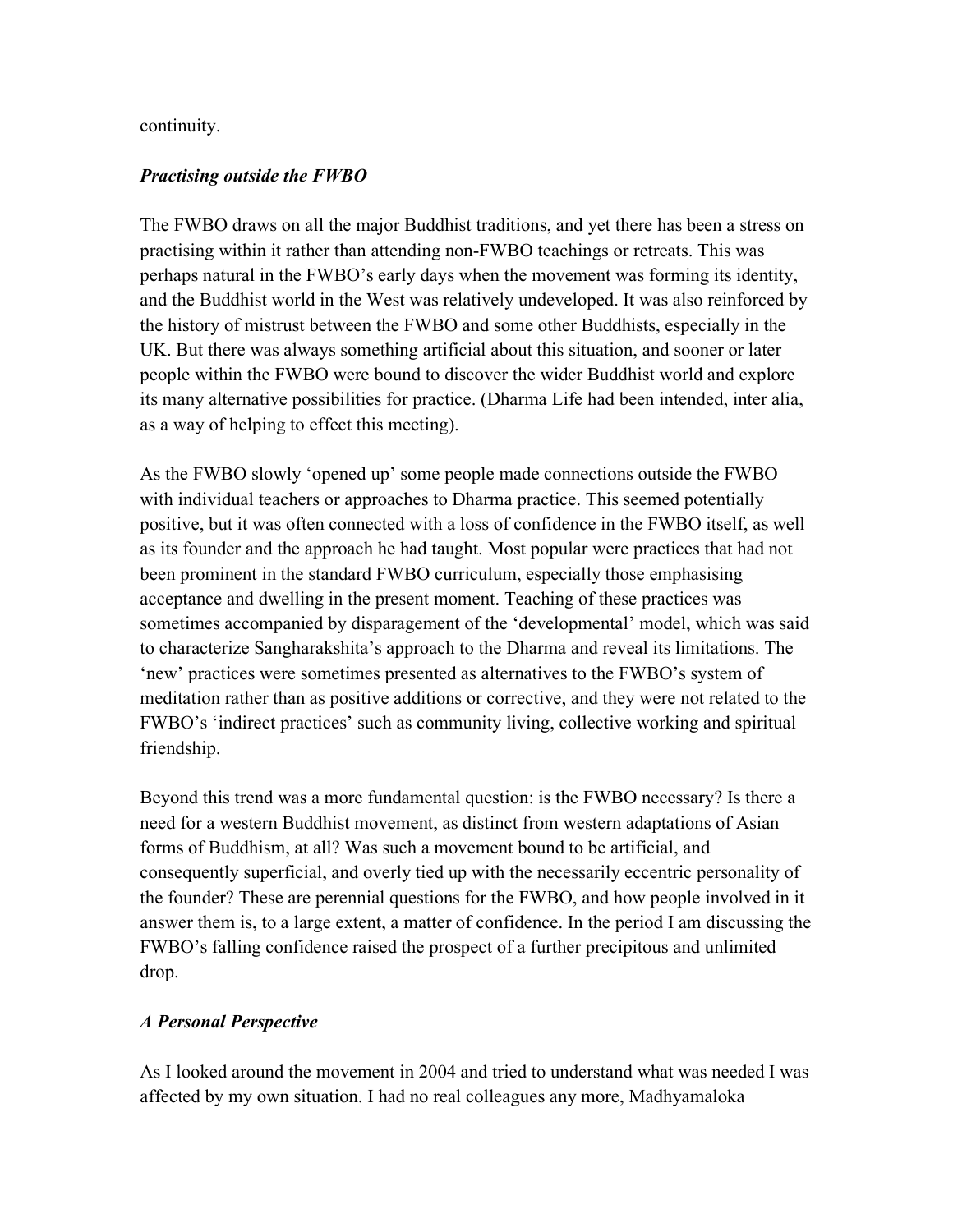### continuity.

## *Practising outside the FWBO*

The FWBO draws on all the major Buddhist traditions, and yet there has been a stress on practising within it rather than attending non-FWBO teachings or retreats. This was perhaps natural in the FWBO's early days when the movement was forming its identity, and the Buddhist world in the West was relatively undeveloped. It was also reinforced by the history of mistrust between the FWBO and some other Buddhists, especially in the UK. But there was always something artificial about this situation, and sooner or later people within the FWBO were bound to discover the wider Buddhist world and explore its many alternative possibilities for practice. (Dharma Life had been intended, inter alia, as a way of helping to effect this meeting).

As the FWBO slowly 'opened up' some people made connections outside the FWBO with individual teachers or approaches to Dharma practice. This seemed potentially positive, but it was often connected with a loss of confidence in the FWBO itself, as well as its founder and the approach he had taught. Most popular were practices that had not been prominent in the standard FWBO curriculum, especially those emphasising acceptance and dwelling in the present moment. Teaching of these practices was sometimes accompanied by disparagement of the 'developmental' model, which was said to characterize Sangharakshita's approach to the Dharma and reveal its limitations. The 'new' practices were sometimes presented as alternatives to the FWBO's system of meditation rather than as positive additions or corrective, and they were not related to the FWBO's 'indirect practices' such as community living, collective working and spiritual friendship.

Beyond this trend was a more fundamental question: is the FWBO necessary? Is there a need for a western Buddhist movement, as distinct from western adaptations of Asian forms of Buddhism, at all? Was such a movement bound to be artificial, and consequently superficial, and overly tied up with the necessarily eccentric personality of the founder? These are perennial questions for the FWBO, and how people involved in it answer them is, to a large extent, a matter of confidence. In the period I am discussing the FWBO's falling confidence raised the prospect of a further precipitous and unlimited drop.

## *A Personal Perspective*

As I looked around the movement in 2004 and tried to understand what was needed I was affected by my own situation. I had no real colleagues any more, Madhyamaloka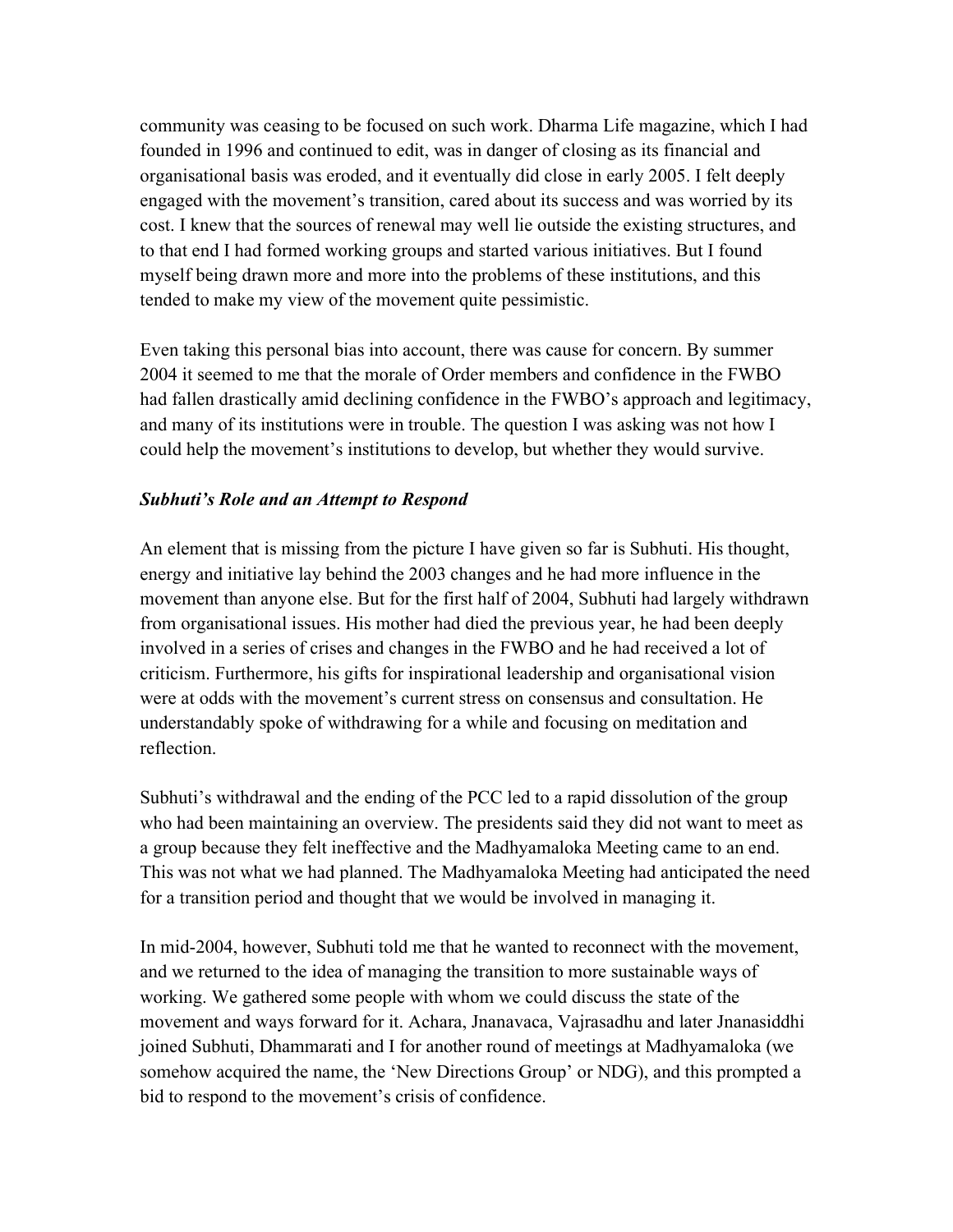community was ceasing to be focused on such work. Dharma Life magazine, which I had founded in 1996 and continued to edit, was in danger of closing as its financial and organisational basis was eroded, and it eventually did close in early 2005. I felt deeply engaged with the movement's transition, cared about its success and was worried by its cost. I knew that the sources of renewal may well lie outside the existing structures, and to that end I had formed working groups and started various initiatives. But I found myself being drawn more and more into the problems of these institutions, and this tended to make my view of the movement quite pessimistic.

Even taking this personal bias into account, there was cause for concern. By summer 2004 it seemed to me that the morale of Order members and confidence in the FWBO had fallen drastically amid declining confidence in the FWBO's approach and legitimacy, and many of its institutions were in trouble. The question I was asking was not how I could help the movement's institutions to develop, but whether they would survive.

#### *Subhuti's Role and an Attempt to Respond*

An element that is missing from the picture I have given so far is Subhuti. His thought, energy and initiative lay behind the 2003 changes and he had more influence in the movement than anyone else. But for the first half of 2004, Subhuti had largely withdrawn from organisational issues. His mother had died the previous year, he had been deeply involved in a series of crises and changes in the FWBO and he had received a lot of criticism. Furthermore, his gifts for inspirational leadership and organisational vision were at odds with the movement's current stress on consensus and consultation. He understandably spoke of withdrawing for a while and focusing on meditation and reflection.

Subhuti's withdrawal and the ending of the PCC led to a rapid dissolution of the group who had been maintaining an overview. The presidents said they did not want to meet as a group because they felt ineffective and the Madhyamaloka Meeting came to an end. This was not what we had planned. The Madhyamaloka Meeting had anticipated the need for a transition period and thought that we would be involved in managing it.

In mid-2004, however, Subhuti told me that he wanted to reconnect with the movement, and we returned to the idea of managing the transition to more sustainable ways of working. We gathered some people with whom we could discuss the state of the movement and ways forward for it. Achara, Jnanavaca, Vajrasadhu and later Jnanasiddhi joined Subhuti, Dhammarati and I for another round of meetings at Madhyamaloka (we somehow acquired the name, the 'New Directions Group' or NDG), and this prompted a bid to respond to the movement's crisis of confidence.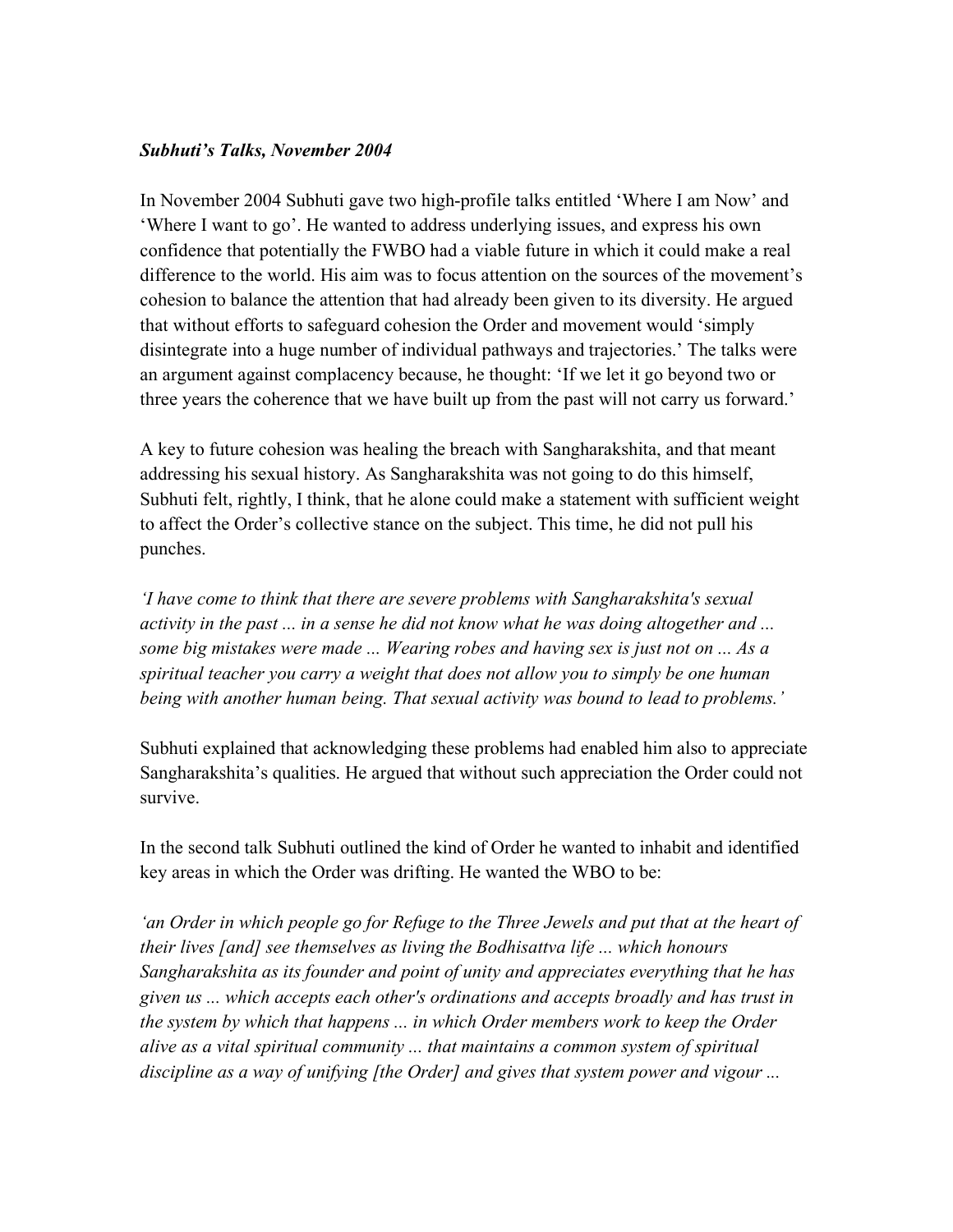### *Subhuti's Talks, November 2004*

In November 2004 Subhuti gave two high-profile talks entitled 'Where I am Now' and 'Where I want to go'. He wanted to address underlying issues, and express his own confidence that potentially the FWBO had a viable future in which it could make a real difference to the world. His aim was to focus attention on the sources of the movement's cohesion to balance the attention that had already been given to its diversity. He argued that without efforts to safeguard cohesion the Order and movement would 'simply disintegrate into a huge number of individual pathways and trajectories.' The talks were an argument against complacency because, he thought: 'If we let it go beyond two or three years the coherence that we have built up from the past will not carry us forward.'

A key to future cohesion was healing the breach with Sangharakshita, and that meant addressing his sexual history. As Sangharakshita was not going to do this himself, Subhuti felt, rightly, I think, that he alone could make a statement with sufficient weight to affect the Order's collective stance on the subject. This time, he did not pull his punches.

*'I have come to think that there are severe problems with Sangharakshita's sexual activity in the past ... in a sense he did not know what he was doing altogether and ... some big mistakes were made ... Wearing robes and having sex is just not on ... As a spiritual teacher you carry a weight that does not allow you to simply be one human being with another human being. That sexual activity was bound to lead to problems.'* 

Subhuti explained that acknowledging these problems had enabled him also to appreciate Sangharakshita's qualities. He argued that without such appreciation the Order could not survive.

In the second talk Subhuti outlined the kind of Order he wanted to inhabit and identified key areas in which the Order was drifting. He wanted the WBO to be:

*'an Order in which people go for Refuge to the Three Jewels and put that at the heart of their lives [and] see themselves as living the Bodhisattva life ... which honours Sangharakshita as its founder and point of unity and appreciates everything that he has given us ... which accepts each other's ordinations and accepts broadly and has trust in the system by which that happens ... in which Order members work to keep the Order alive as a vital spiritual community ... that maintains a common system of spiritual discipline as a way of unifying [the Order] and gives that system power and vigour ...*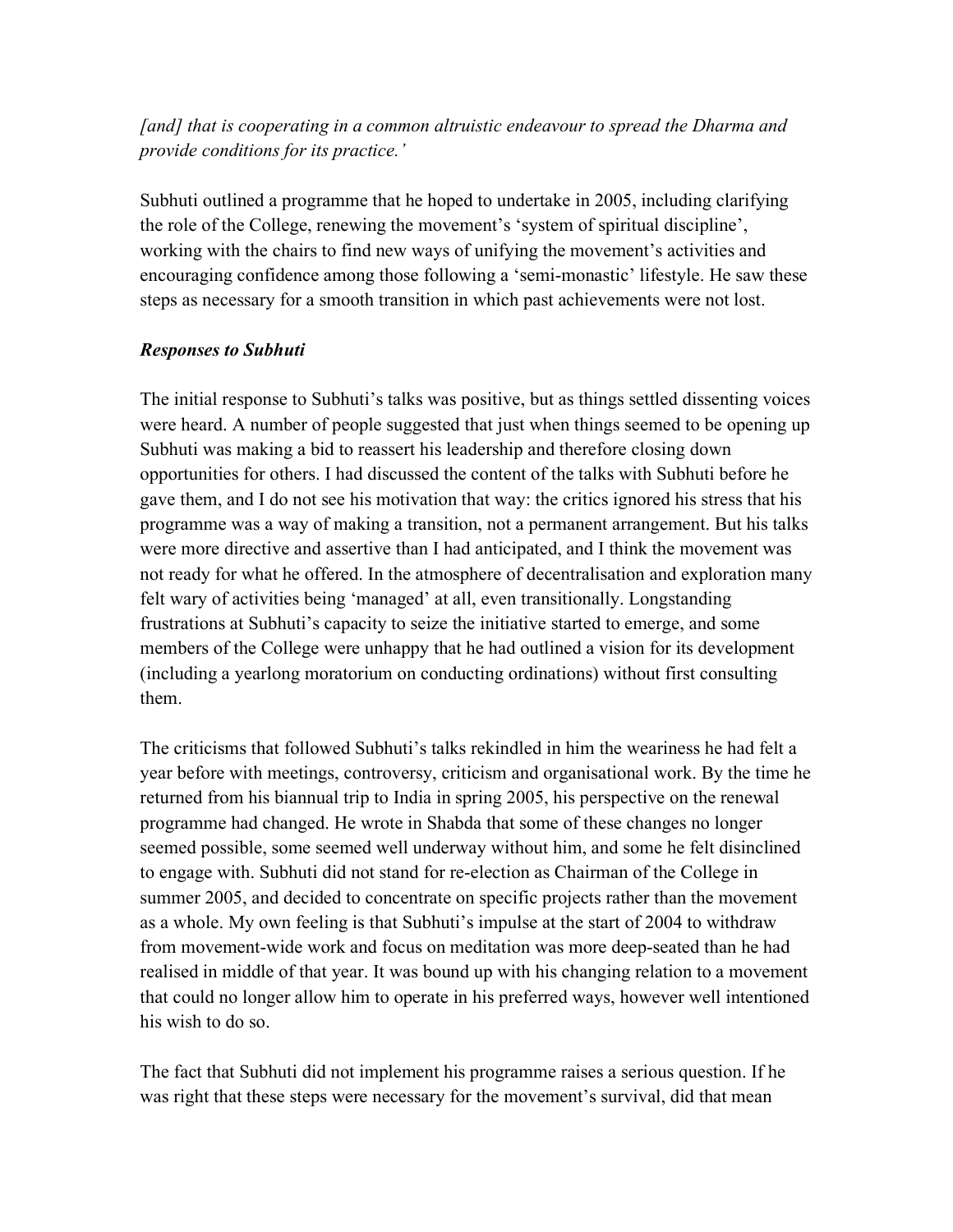## *[and] that is cooperating in a common altruistic endeavour to spread the Dharma and provide conditions for its practice.'*

Subhuti outlined a programme that he hoped to undertake in 2005, including clarifying the role of the College, renewing the movement's 'system of spiritual discipline', working with the chairs to find new ways of unifying the movement's activities and encouraging confidence among those following a 'semi-monastic' lifestyle. He saw these steps as necessary for a smooth transition in which past achievements were not lost.

### *Responses to Subhuti*

The initial response to Subhuti's talks was positive, but as things settled dissenting voices were heard. A number of people suggested that just when things seemed to be opening up Subhuti was making a bid to reassert his leadership and therefore closing down opportunities for others. I had discussed the content of the talks with Subhuti before he gave them, and I do not see his motivation that way: the critics ignored his stress that his programme was a way of making a transition, not a permanent arrangement. But his talks were more directive and assertive than I had anticipated, and I think the movement was not ready for what he offered. In the atmosphere of decentralisation and exploration many felt wary of activities being 'managed' at all, even transitionally. Longstanding frustrations at Subhuti's capacity to seize the initiative started to emerge, and some members of the College were unhappy that he had outlined a vision for its development (including a yearlong moratorium on conducting ordinations) without first consulting them.

The criticisms that followed Subhuti's talks rekindled in him the weariness he had felt a year before with meetings, controversy, criticism and organisational work. By the time he returned from his biannual trip to India in spring 2005, his perspective on the renewal programme had changed. He wrote in Shabda that some of these changes no longer seemed possible, some seemed well underway without him, and some he felt disinclined to engage with. Subhuti did not stand for re-election as Chairman of the College in summer 2005, and decided to concentrate on specific projects rather than the movement as a whole. My own feeling is that Subhuti's impulse at the start of 2004 to withdraw from movement-wide work and focus on meditation was more deep-seated than he had realised in middle of that year. It was bound up with his changing relation to a movement that could no longer allow him to operate in his preferred ways, however well intentioned his wish to do so.

The fact that Subhuti did not implement his programme raises a serious question. If he was right that these steps were necessary for the movement's survival, did that mean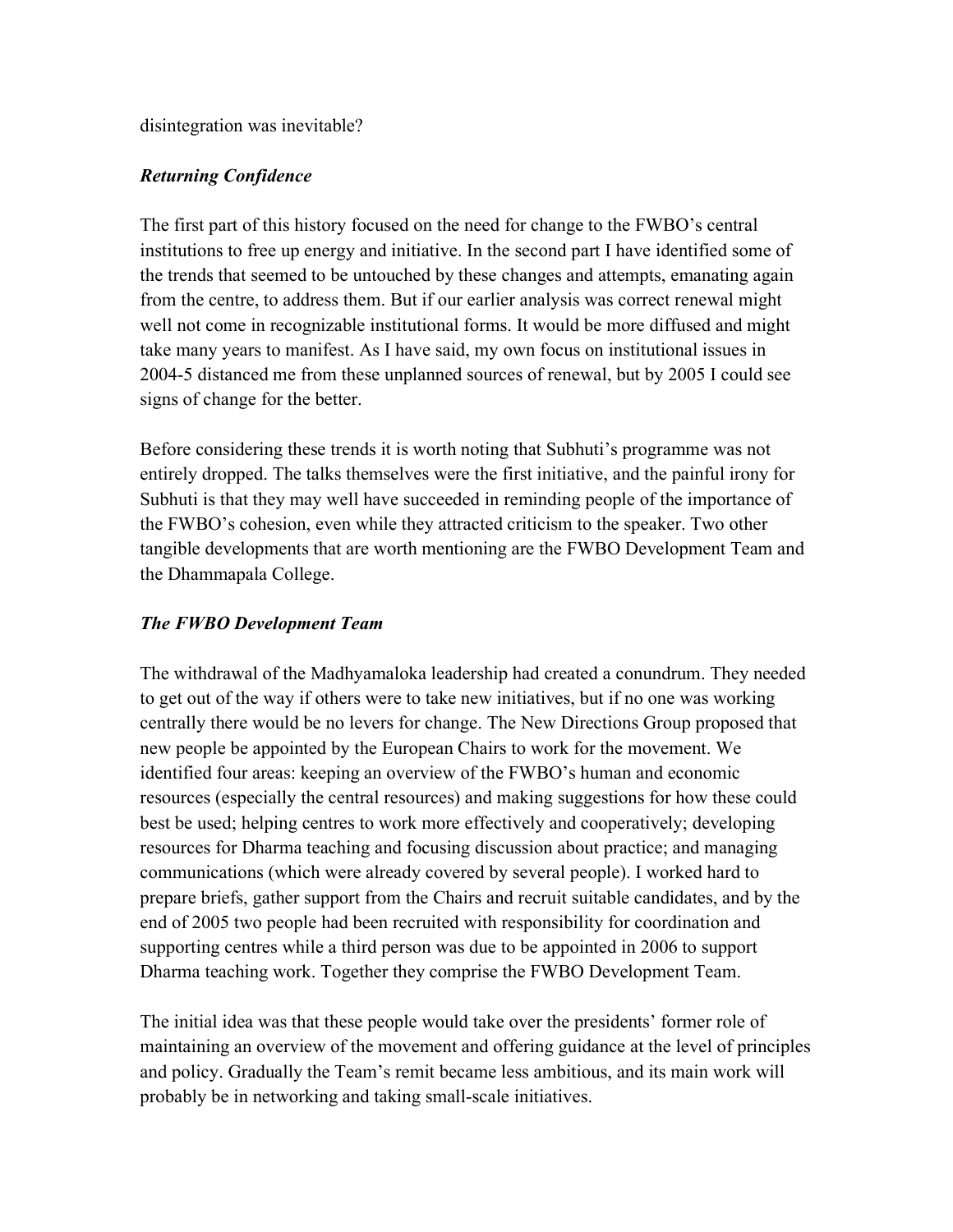disintegration was inevitable?

## *Returning Confidence*

The first part of this history focused on the need for change to the FWBO's central institutions to free up energy and initiative. In the second part I have identified some of the trends that seemed to be untouched by these changes and attempts, emanating again from the centre, to address them. But if our earlier analysis was correct renewal might well not come in recognizable institutional forms. It would be more diffused and might take many years to manifest. As I have said, my own focus on institutional issues in 2004-5 distanced me from these unplanned sources of renewal, but by 2005 I could see signs of change for the better.

Before considering these trends it is worth noting that Subhuti's programme was not entirely dropped. The talks themselves were the first initiative, and the painful irony for Subhuti is that they may well have succeeded in reminding people of the importance of the FWBO's cohesion, even while they attracted criticism to the speaker. Two other tangible developments that are worth mentioning are the FWBO Development Team and the Dhammapala College.

## *The FWBO Development Team*

The withdrawal of the Madhyamaloka leadership had created a conundrum. They needed to get out of the way if others were to take new initiatives, but if no one was working centrally there would be no levers for change. The New Directions Group proposed that new people be appointed by the European Chairs to work for the movement. We identified four areas: keeping an overview of the FWBO's human and economic resources (especially the central resources) and making suggestions for how these could best be used; helping centres to work more effectively and cooperatively; developing resources for Dharma teaching and focusing discussion about practice; and managing communications (which were already covered by several people). I worked hard to prepare briefs, gather support from the Chairs and recruit suitable candidates, and by the end of 2005 two people had been recruited with responsibility for coordination and supporting centres while a third person was due to be appointed in 2006 to support Dharma teaching work. Together they comprise the FWBO Development Team.

The initial idea was that these people would take over the presidents' former role of maintaining an overview of the movement and offering guidance at the level of principles and policy. Gradually the Team's remit became less ambitious, and its main work will probably be in networking and taking small-scale initiatives.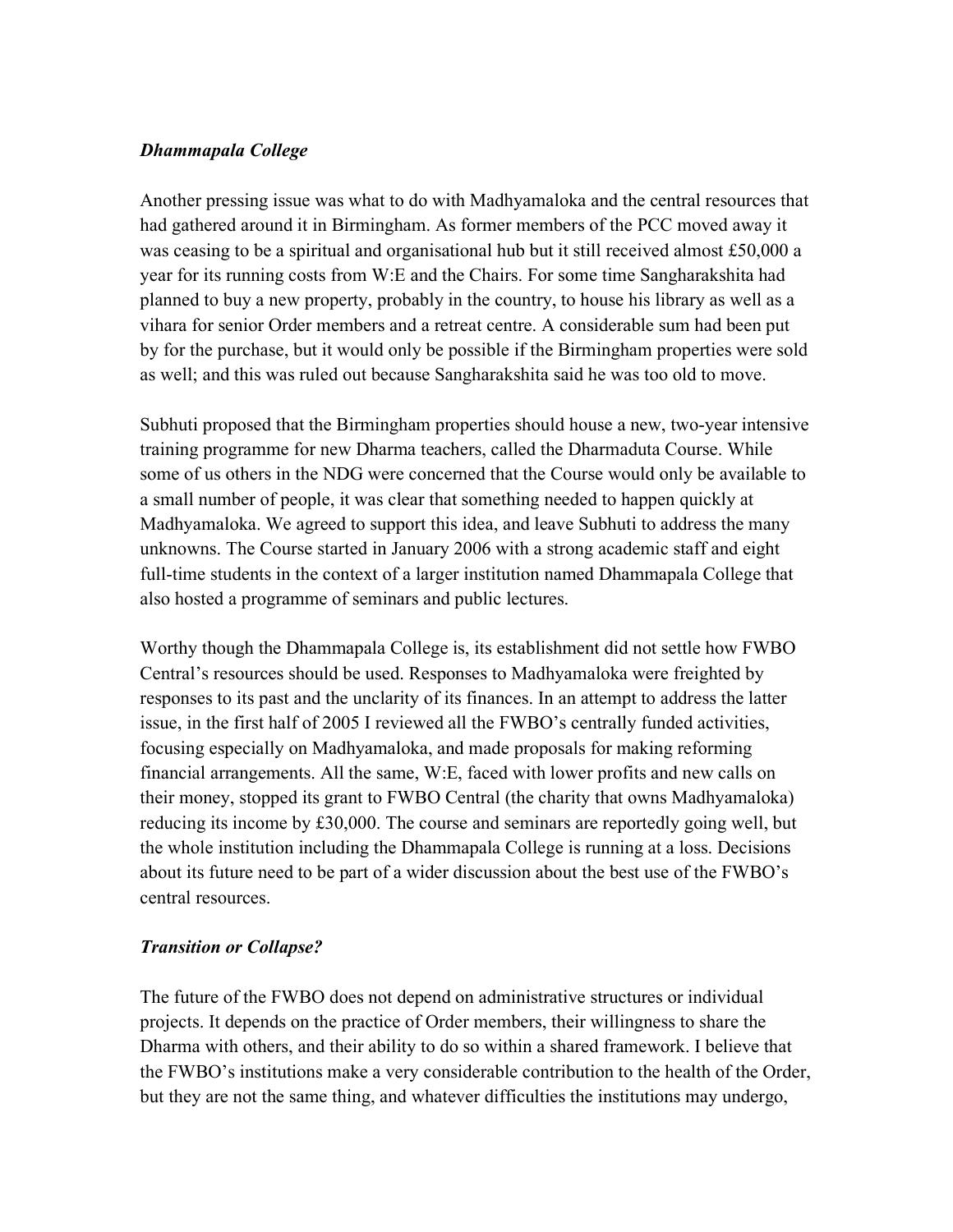## *Dhammapala College*

Another pressing issue was what to do with Madhyamaloka and the central resources that had gathered around it in Birmingham. As former members of the PCC moved away it was ceasing to be a spiritual and organisational hub but it still received almost £50,000 a year for its running costs from W:E and the Chairs. For some time Sangharakshita had planned to buy a new property, probably in the country, to house his library as well as a vihara for senior Order members and a retreat centre. A considerable sum had been put by for the purchase, but it would only be possible if the Birmingham properties were sold as well; and this was ruled out because Sangharakshita said he was too old to move.

Subhuti proposed that the Birmingham properties should house a new, two-year intensive training programme for new Dharma teachers, called the Dharmaduta Course. While some of us others in the NDG were concerned that the Course would only be available to a small number of people, it was clear that something needed to happen quickly at Madhyamaloka. We agreed to support this idea, and leave Subhuti to address the many unknowns. The Course started in January 2006 with a strong academic staff and eight full-time students in the context of a larger institution named Dhammapala College that also hosted a programme of seminars and public lectures.

Worthy though the Dhammapala College is, its establishment did not settle how FWBO Central's resources should be used. Responses to Madhyamaloka were freighted by responses to its past and the unclarity of its finances. In an attempt to address the latter issue, in the first half of 2005 I reviewed all the FWBO's centrally funded activities, focusing especially on Madhyamaloka, and made proposals for making reforming financial arrangements. All the same, W:E, faced with lower profits and new calls on their money, stopped its grant to FWBO Central (the charity that owns Madhyamaloka) reducing its income by £30,000. The course and seminars are reportedly going well, but the whole institution including the Dhammapala College is running at a loss. Decisions about its future need to be part of a wider discussion about the best use of the FWBO's central resources.

## *Transition or Collapse?*

The future of the FWBO does not depend on administrative structures or individual projects. It depends on the practice of Order members, their willingness to share the Dharma with others, and their ability to do so within a shared framework. I believe that the FWBO's institutions make a very considerable contribution to the health of the Order, but they are not the same thing, and whatever difficulties the institutions may undergo,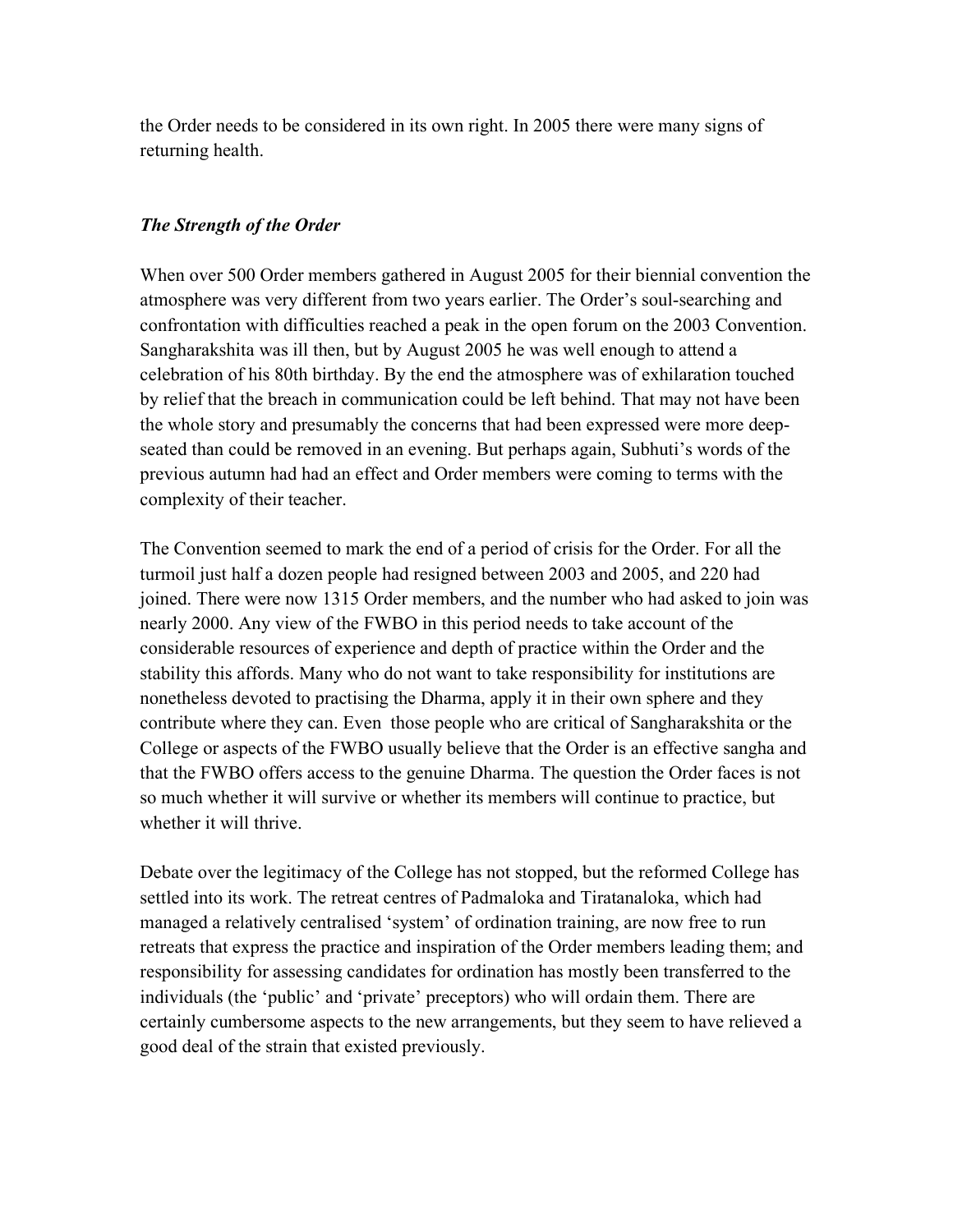the Order needs to be considered in its own right. In 2005 there were many signs of returning health.

### *The Strength of the Order*

When over 500 Order members gathered in August 2005 for their biennial convention the atmosphere was very different from two years earlier. The Order's soul-searching and confrontation with difficulties reached a peak in the open forum on the 2003 Convention. Sangharakshita was ill then, but by August 2005 he was well enough to attend a celebration of his 80th birthday. By the end the atmosphere was of exhilaration touched by relief that the breach in communication could be left behind. That may not have been the whole story and presumably the concerns that had been expressed were more deepseated than could be removed in an evening. But perhaps again, Subhuti's words of the previous autumn had had an effect and Order members were coming to terms with the complexity of their teacher.

The Convention seemed to mark the end of a period of crisis for the Order. For all the turmoil just half a dozen people had resigned between 2003 and 2005, and 220 had joined. There were now 1315 Order members, and the number who had asked to join was nearly 2000. Any view of the FWBO in this period needs to take account of the considerable resources of experience and depth of practice within the Order and the stability this affords. Many who do not want to take responsibility for institutions are nonetheless devoted to practising the Dharma, apply it in their own sphere and they contribute where they can. Even those people who are critical of Sangharakshita or the College or aspects of the FWBO usually believe that the Order is an effective sangha and that the FWBO offers access to the genuine Dharma. The question the Order faces is not so much whether it will survive or whether its members will continue to practice, but whether it will thrive.

Debate over the legitimacy of the College has not stopped, but the reformed College has settled into its work. The retreat centres of Padmaloka and Tiratanaloka, which had managed a relatively centralised 'system' of ordination training, are now free to run retreats that express the practice and inspiration of the Order members leading them; and responsibility for assessing candidates for ordination has mostly been transferred to the individuals (the 'public' and 'private' preceptors) who will ordain them. There are certainly cumbersome aspects to the new arrangements, but they seem to have relieved a good deal of the strain that existed previously.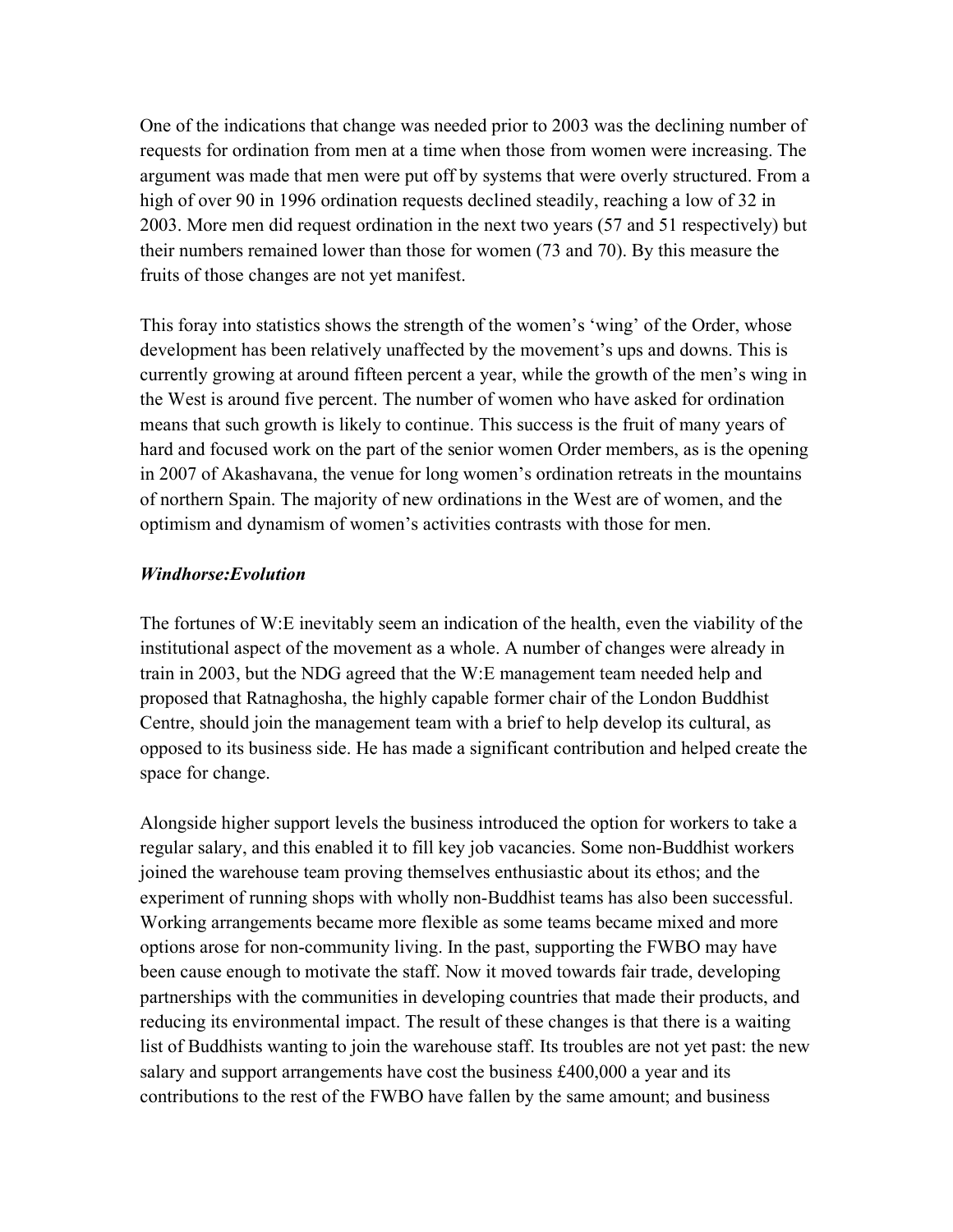One of the indications that change was needed prior to 2003 was the declining number of requests for ordination from men at a time when those from women were increasing. The argument was made that men were put off by systems that were overly structured. From a high of over 90 in 1996 ordination requests declined steadily, reaching a low of 32 in 2003. More men did request ordination in the next two years (57 and 51 respectively) but their numbers remained lower than those for women (73 and 70). By this measure the fruits of those changes are not yet manifest.

This foray into statistics shows the strength of the women's 'wing' of the Order, whose development has been relatively unaffected by the movement's ups and downs. This is currently growing at around fifteen percent a year, while the growth of the men's wing in the West is around five percent. The number of women who have asked for ordination means that such growth is likely to continue. This success is the fruit of many years of hard and focused work on the part of the senior women Order members, as is the opening in 2007 of Akashavana, the venue for long women's ordination retreats in the mountains of northern Spain. The majority of new ordinations in the West are of women, and the optimism and dynamism of women's activities contrasts with those for men.

#### *Windhorse:Evolution*

The fortunes of W:E inevitably seem an indication of the health, even the viability of the institutional aspect of the movement as a whole. A number of changes were already in train in 2003, but the NDG agreed that the W:E management team needed help and proposed that Ratnaghosha, the highly capable former chair of the London Buddhist Centre, should join the management team with a brief to help develop its cultural, as opposed to its business side. He has made a significant contribution and helped create the space for change.

Alongside higher support levels the business introduced the option for workers to take a regular salary, and this enabled it to fill key job vacancies. Some non-Buddhist workers joined the warehouse team proving themselves enthusiastic about its ethos; and the experiment of running shops with wholly non-Buddhist teams has also been successful. Working arrangements became more flexible as some teams became mixed and more options arose for non-community living. In the past, supporting the FWBO may have been cause enough to motivate the staff. Now it moved towards fair trade, developing partnerships with the communities in developing countries that made their products, and reducing its environmental impact. The result of these changes is that there is a waiting list of Buddhists wanting to join the warehouse staff. Its troubles are not yet past: the new salary and support arrangements have cost the business £400,000 a year and its contributions to the rest of the FWBO have fallen by the same amount; and business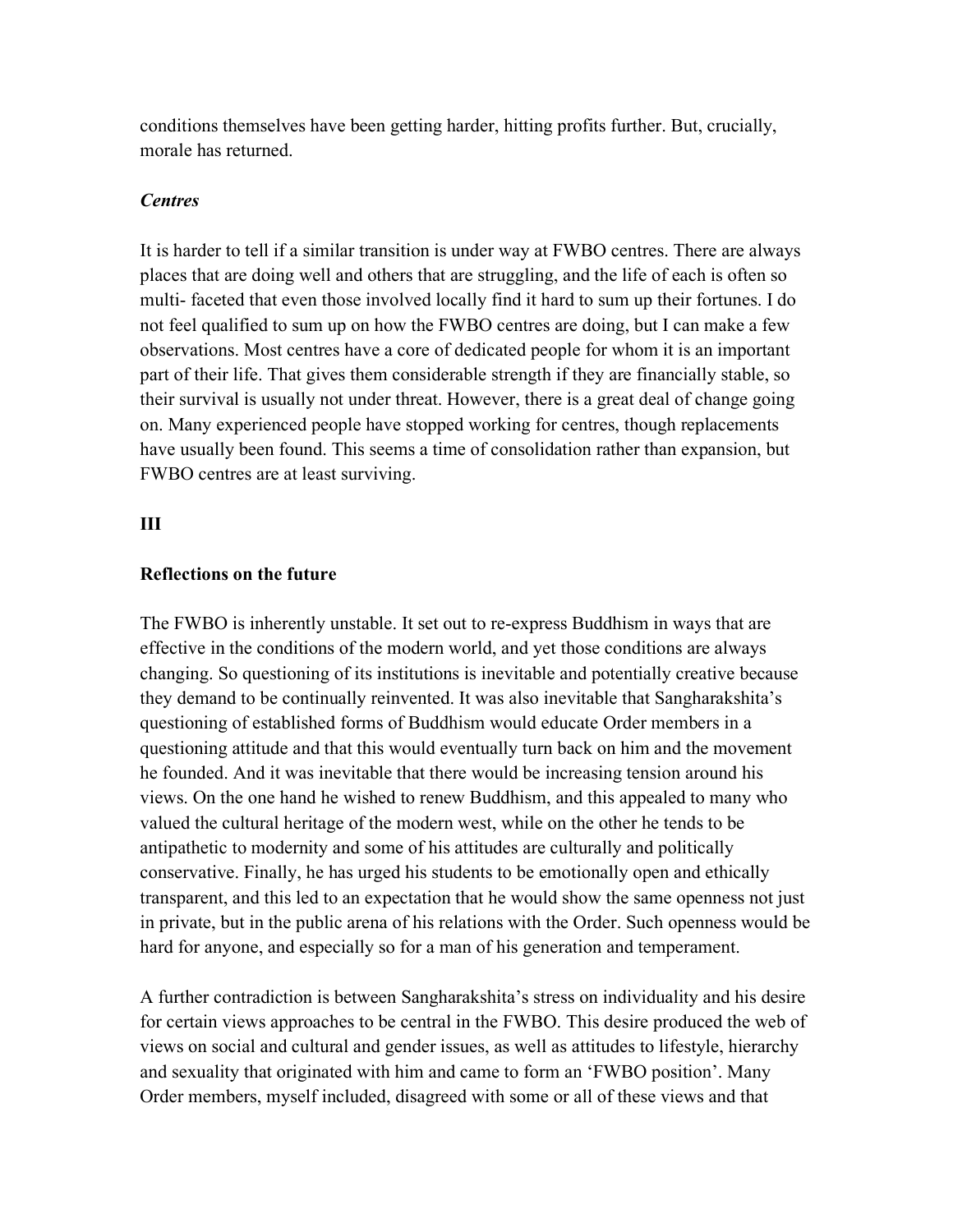conditions themselves have been getting harder, hitting profits further. But, crucially, morale has returned.

#### *Centres*

It is harder to tell if a similar transition is under way at FWBO centres. There are always places that are doing well and others that are struggling, and the life of each is often so multi- faceted that even those involved locally find it hard to sum up their fortunes. I do not feel qualified to sum up on how the FWBO centres are doing, but I can make a few observations. Most centres have a core of dedicated people for whom it is an important part of their life. That gives them considerable strength if they are financially stable, so their survival is usually not under threat. However, there is a great deal of change going on. Many experienced people have stopped working for centres, though replacements have usually been found. This seems a time of consolidation rather than expansion, but FWBO centres are at least surviving.

#### **III**

#### **Reflections on the future**

The FWBO is inherently unstable. It set out to re-express Buddhism in ways that are effective in the conditions of the modern world, and yet those conditions are always changing. So questioning of its institutions is inevitable and potentially creative because they demand to be continually reinvented. It was also inevitable that Sangharakshita's questioning of established forms of Buddhism would educate Order members in a questioning attitude and that this would eventually turn back on him and the movement he founded. And it was inevitable that there would be increasing tension around his views. On the one hand he wished to renew Buddhism, and this appealed to many who valued the cultural heritage of the modern west, while on the other he tends to be antipathetic to modernity and some of his attitudes are culturally and politically conservative. Finally, he has urged his students to be emotionally open and ethically transparent, and this led to an expectation that he would show the same openness not just in private, but in the public arena of his relations with the Order. Such openness would be hard for anyone, and especially so for a man of his generation and temperament.

A further contradiction is between Sangharakshita's stress on individuality and his desire for certain views approaches to be central in the FWBO. This desire produced the web of views on social and cultural and gender issues, as well as attitudes to lifestyle, hierarchy and sexuality that originated with him and came to form an 'FWBO position'. Many Order members, myself included, disagreed with some or all of these views and that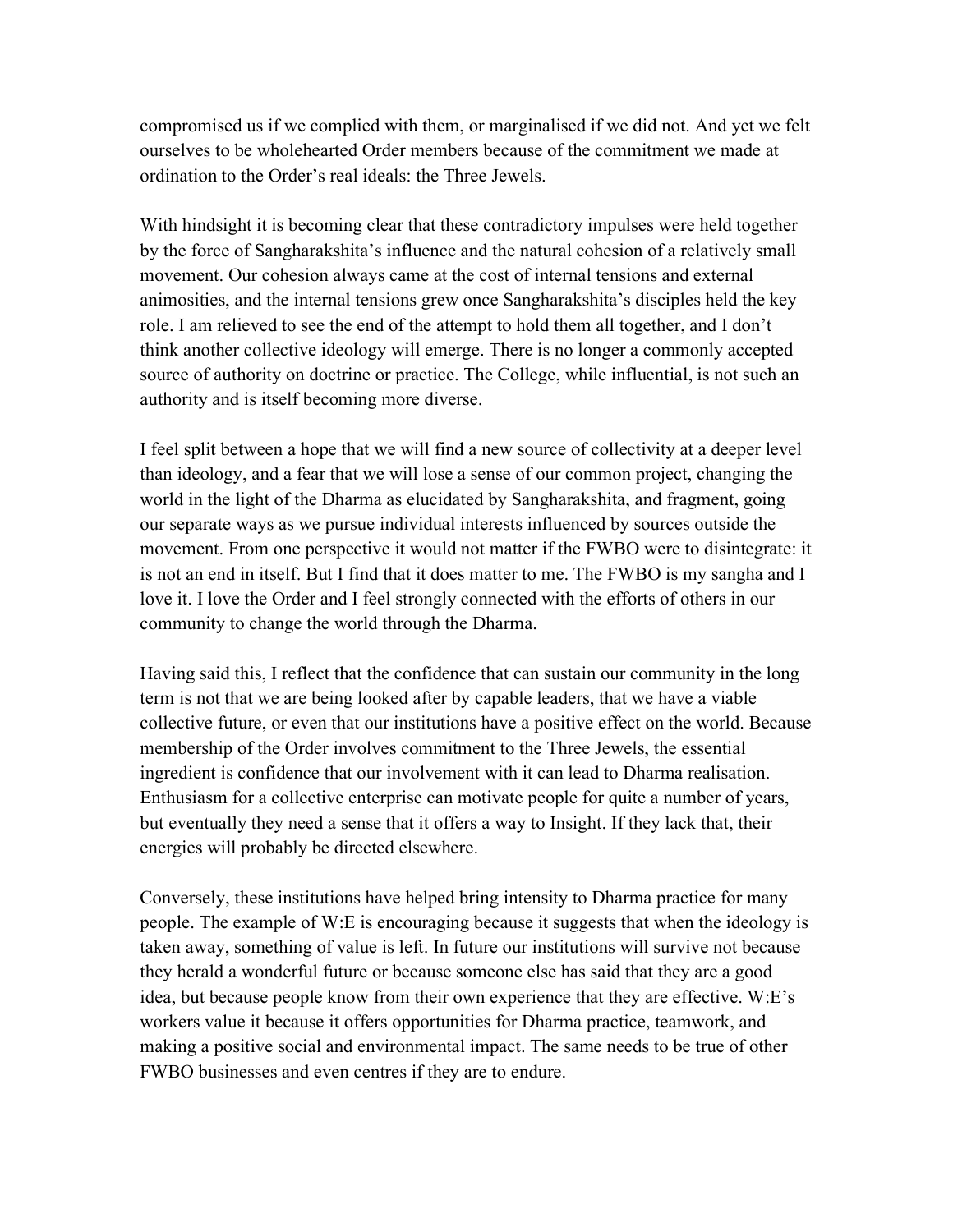compromised us if we complied with them, or marginalised if we did not. And yet we felt ourselves to be wholehearted Order members because of the commitment we made at ordination to the Order's real ideals: the Three Jewels.

With hindsight it is becoming clear that these contradictory impulses were held together by the force of Sangharakshita's influence and the natural cohesion of a relatively small movement. Our cohesion always came at the cost of internal tensions and external animosities, and the internal tensions grew once Sangharakshita's disciples held the key role. I am relieved to see the end of the attempt to hold them all together, and I don't think another collective ideology will emerge. There is no longer a commonly accepted source of authority on doctrine or practice. The College, while influential, is not such an authority and is itself becoming more diverse.

I feel split between a hope that we will find a new source of collectivity at a deeper level than ideology, and a fear that we will lose a sense of our common project, changing the world in the light of the Dharma as elucidated by Sangharakshita, and fragment, going our separate ways as we pursue individual interests influenced by sources outside the movement. From one perspective it would not matter if the FWBO were to disintegrate: it is not an end in itself. But I find that it does matter to me. The FWBO is my sangha and I love it. I love the Order and I feel strongly connected with the efforts of others in our community to change the world through the Dharma.

Having said this, I reflect that the confidence that can sustain our community in the long term is not that we are being looked after by capable leaders, that we have a viable collective future, or even that our institutions have a positive effect on the world. Because membership of the Order involves commitment to the Three Jewels, the essential ingredient is confidence that our involvement with it can lead to Dharma realisation. Enthusiasm for a collective enterprise can motivate people for quite a number of years, but eventually they need a sense that it offers a way to Insight. If they lack that, their energies will probably be directed elsewhere.

Conversely, these institutions have helped bring intensity to Dharma practice for many people. The example of W:E is encouraging because it suggests that when the ideology is taken away, something of value is left. In future our institutions will survive not because they herald a wonderful future or because someone else has said that they are a good idea, but because people know from their own experience that they are effective. W:E's workers value it because it offers opportunities for Dharma practice, teamwork, and making a positive social and environmental impact. The same needs to be true of other FWBO businesses and even centres if they are to endure.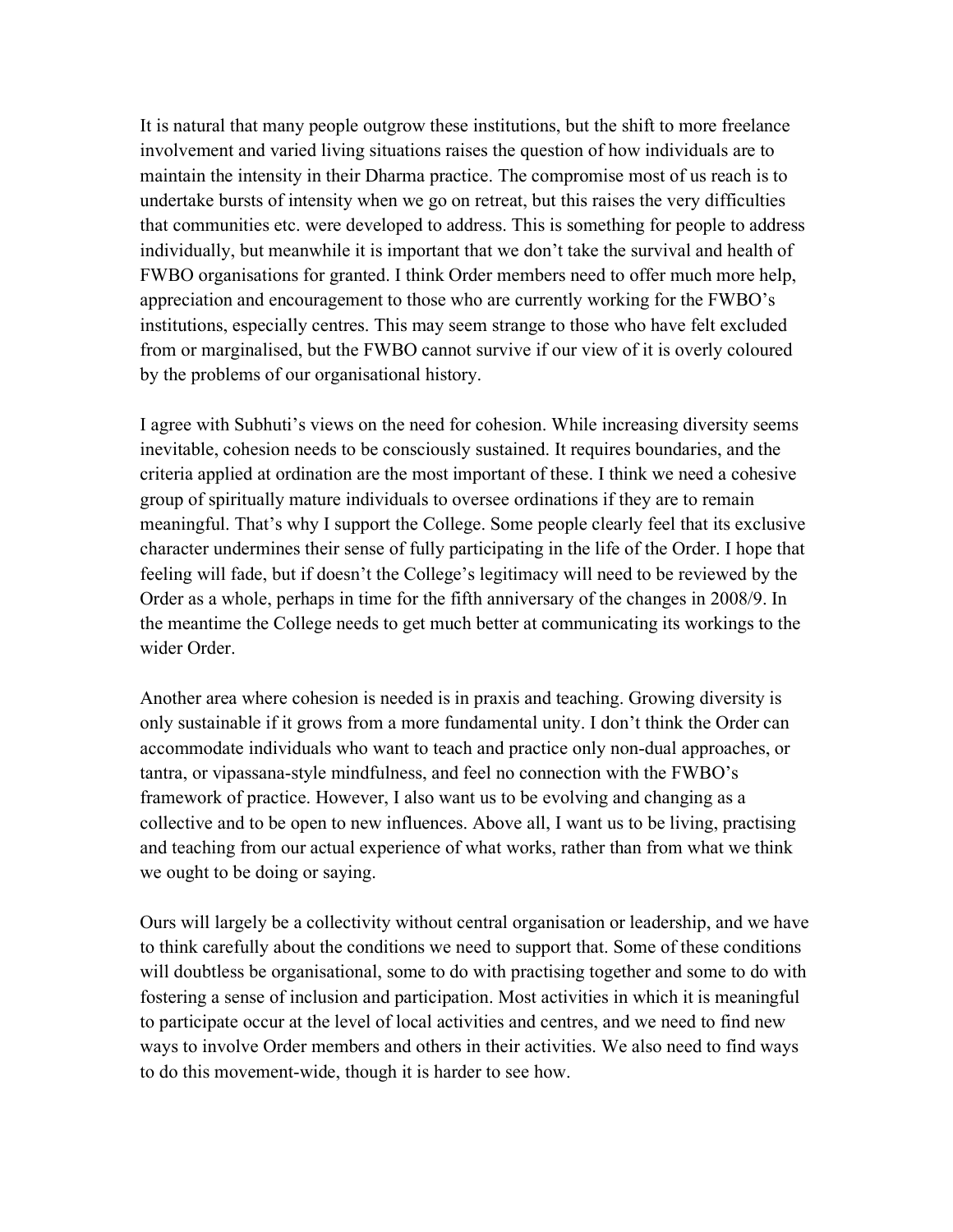It is natural that many people outgrow these institutions, but the shift to more freelance involvement and varied living situations raises the question of how individuals are to maintain the intensity in their Dharma practice. The compromise most of us reach is to undertake bursts of intensity when we go on retreat, but this raises the very difficulties that communities etc. were developed to address. This is something for people to address individually, but meanwhile it is important that we don't take the survival and health of FWBO organisations for granted. I think Order members need to offer much more help, appreciation and encouragement to those who are currently working for the FWBO's institutions, especially centres. This may seem strange to those who have felt excluded from or marginalised, but the FWBO cannot survive if our view of it is overly coloured by the problems of our organisational history.

I agree with Subhuti's views on the need for cohesion. While increasing diversity seems inevitable, cohesion needs to be consciously sustained. It requires boundaries, and the criteria applied at ordination are the most important of these. I think we need a cohesive group of spiritually mature individuals to oversee ordinations if they are to remain meaningful. That's why I support the College. Some people clearly feel that its exclusive character undermines their sense of fully participating in the life of the Order. I hope that feeling will fade, but if doesn't the College's legitimacy will need to be reviewed by the Order as a whole, perhaps in time for the fifth anniversary of the changes in 2008/9. In the meantime the College needs to get much better at communicating its workings to the wider Order.

Another area where cohesion is needed is in praxis and teaching. Growing diversity is only sustainable if it grows from a more fundamental unity. I don't think the Order can accommodate individuals who want to teach and practice only non-dual approaches, or tantra, or vipassana-style mindfulness, and feel no connection with the FWBO's framework of practice. However, I also want us to be evolving and changing as a collective and to be open to new influences. Above all, I want us to be living, practising and teaching from our actual experience of what works, rather than from what we think we ought to be doing or saying.

Ours will largely be a collectivity without central organisation or leadership, and we have to think carefully about the conditions we need to support that. Some of these conditions will doubtless be organisational, some to do with practising together and some to do with fostering a sense of inclusion and participation. Most activities in which it is meaningful to participate occur at the level of local activities and centres, and we need to find new ways to involve Order members and others in their activities. We also need to find ways to do this movement-wide, though it is harder to see how.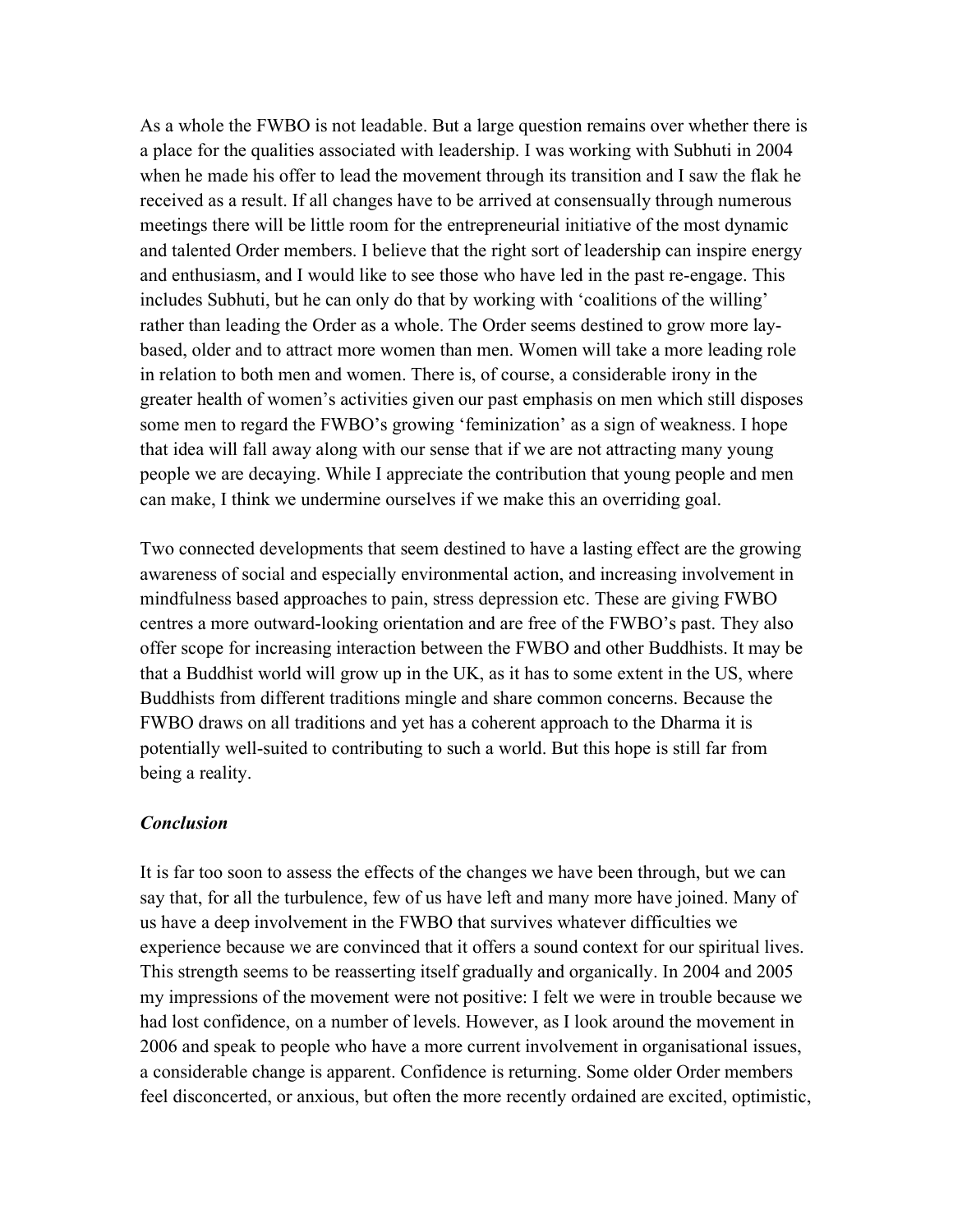As a whole the FWBO is not leadable. But a large question remains over whether there is a place for the qualities associated with leadership. I was working with Subhuti in 2004 when he made his offer to lead the movement through its transition and I saw the flak he received as a result. If all changes have to be arrived at consensually through numerous meetings there will be little room for the entrepreneurial initiative of the most dynamic and talented Order members. I believe that the right sort of leadership can inspire energy and enthusiasm, and I would like to see those who have led in the past re-engage. This includes Subhuti, but he can only do that by working with 'coalitions of the willing' rather than leading the Order as a whole. The Order seems destined to grow more laybased, older and to attract more women than men. Women will take a more leading role in relation to both men and women. There is, of course, a considerable irony in the greater health of women's activities given our past emphasis on men which still disposes some men to regard the FWBO's growing 'feminization' as a sign of weakness. I hope that idea will fall away along with our sense that if we are not attracting many young people we are decaying. While I appreciate the contribution that young people and men can make, I think we undermine ourselves if we make this an overriding goal.

Two connected developments that seem destined to have a lasting effect are the growing awareness of social and especially environmental action, and increasing involvement in mindfulness based approaches to pain, stress depression etc. These are giving FWBO centres a more outward-looking orientation and are free of the FWBO's past. They also offer scope for increasing interaction between the FWBO and other Buddhists. It may be that a Buddhist world will grow up in the UK, as it has to some extent in the US, where Buddhists from different traditions mingle and share common concerns. Because the FWBO draws on all traditions and yet has a coherent approach to the Dharma it is potentially well-suited to contributing to such a world. But this hope is still far from being a reality.

#### *Conclusion*

It is far too soon to assess the effects of the changes we have been through, but we can say that, for all the turbulence, few of us have left and many more have joined. Many of us have a deep involvement in the FWBO that survives whatever difficulties we experience because we are convinced that it offers a sound context for our spiritual lives. This strength seems to be reasserting itself gradually and organically. In 2004 and 2005 my impressions of the movement were not positive: I felt we were in trouble because we had lost confidence, on a number of levels. However, as I look around the movement in 2006 and speak to people who have a more current involvement in organisational issues, a considerable change is apparent. Confidence is returning. Some older Order members feel disconcerted, or anxious, but often the more recently ordained are excited, optimistic,